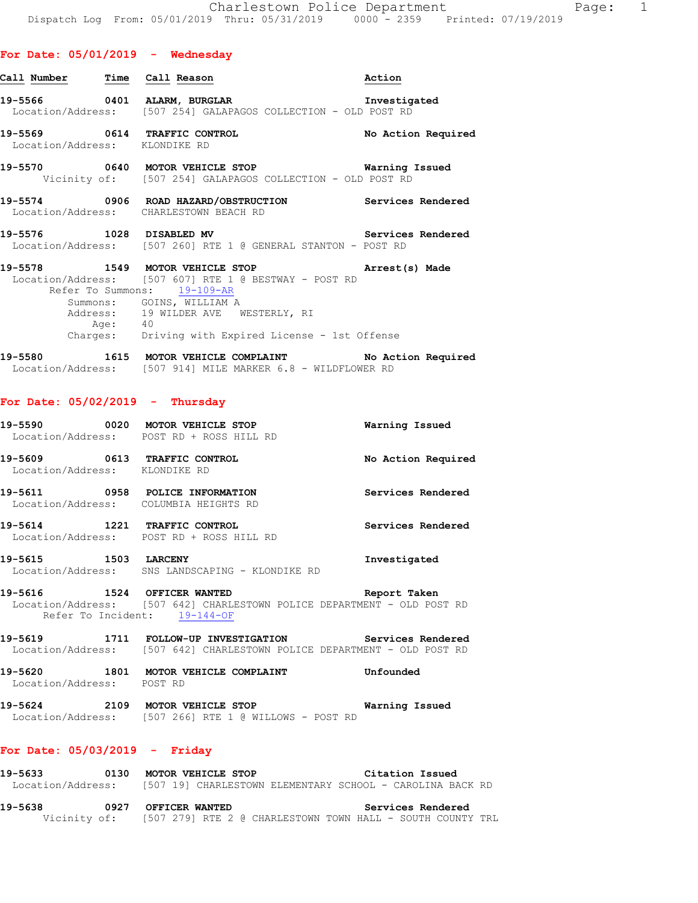| Call Number - Time - Call Reason |                                                                                                                                               | Action             |
|----------------------------------|-----------------------------------------------------------------------------------------------------------------------------------------------|--------------------|
|                                  | Location/Address: [507 254] GALAPAGOS COLLECTION - OLD POST RD                                                                                |                    |
| Location/Address: KLONDIKE RD    | 19-5569 0614 TRAFFIC CONTROL                                                                                                                  | No Action Required |
|                                  | 19-5570 0640 MOTOR VEHICLE STOP<br>Vicinity of: [507 254] GALAPAGOS COLLECTION - OLD POST RD                                                  | Warning Issued     |
|                                  | 19-5574 0906 ROAD HAZARD/OBSTRUCTION Services Rendered<br>Location/Address: CHARLESTOWN BEACH RD                                              |                    |
| 19-5576 1028 DISABLED MV         | <b>Example 2018</b> Services Rendered<br>Location/Address: [507 260] RTE 1 @ GENERAL STANTON - POST RD                                        |                    |
|                                  | 19-5578 1549 MOTOR VEHICLE STOP <b>Arrest(s)</b> Made<br>Location/Address: [507 607] RTE 1 @ BESTWAY - POST RD<br>Refer To Summons: 19-109-AR |                    |

Summons: GOINS, WILLIAM A Address: 19 WILDER AVE WESTERLY, RI Age: 40 Charges: Driving with Expired License - 1st Offense

**19-5580 1615 MOTOR VEHICLE COMPLAINT No Action Required**  Location/Address: [507 914] MILE MARKER 6.8 - WILDFLOWER RD

## **For Date: 05/02/2019 - Thursday**

| 19-5590 0020                             |      | <b>MOTOR VEHICLE STOP</b><br>Location/Address: POST RD + ROSS HILL RD                                   | Warning Issued     |
|------------------------------------------|------|---------------------------------------------------------------------------------------------------------|--------------------|
| 19–5609<br>Location/Address: KLONDIKE RD |      | 0613 TRAFFIC CONTROL                                                                                    | No Action Required |
| 19–5611                                  |      | 0958 POLICE INFORMATION<br>Location/Address: COLUMBIA HEIGHTS RD                                        | Services Rendered  |
| 19-5614                                  | 1221 | TRAFFIC CONTROL<br>Location/Address: POST RD + ROSS HILL RD                                             | Services Rendered  |
| 19-5615 1503                             |      | <b>LARCENY</b><br>Location/Address: SNS LANDSCAPING - KLONDIKE RD                                       | Investigated       |
| 19-5616 1524 OFFICER WANTED              |      | Location/Address: [507 642] CHARLESTOWN POLICE DEPARTMENT - OLD POST RD<br>Refer To Incident: 19-144-OF | Report Taken       |

**19-5619 1711 FOLLOW-UP INVESTIGATION Services Rendered**  Location/Address: [507 642] CHARLESTOWN POLICE DEPARTMENT - OLD POST RD

**19-5620 1801 MOTOR VEHICLE COMPLAINT Unfounded**  Location/Address: POST RD

**19-5624 2109 MOTOR VEHICLE STOP Warning Issued**  Location/Address: [507 266] RTE 1 @ WILLOWS - POST RD

## **For Date: 05/03/2019 - Friday**

**19-5633 0130 MOTOR VEHICLE STOP Citation Issued**  Location/Address: [507 19] CHARLESTOWN ELEMENTARY SCHOOL - CAROLINA BACK RD **19-5638 0927 OFFICER WANTED Services Rendered**  Vicinity of: [507 279] RTE 2 @ CHARLESTOWN TOWN HALL - SOUTH COUNTY TRL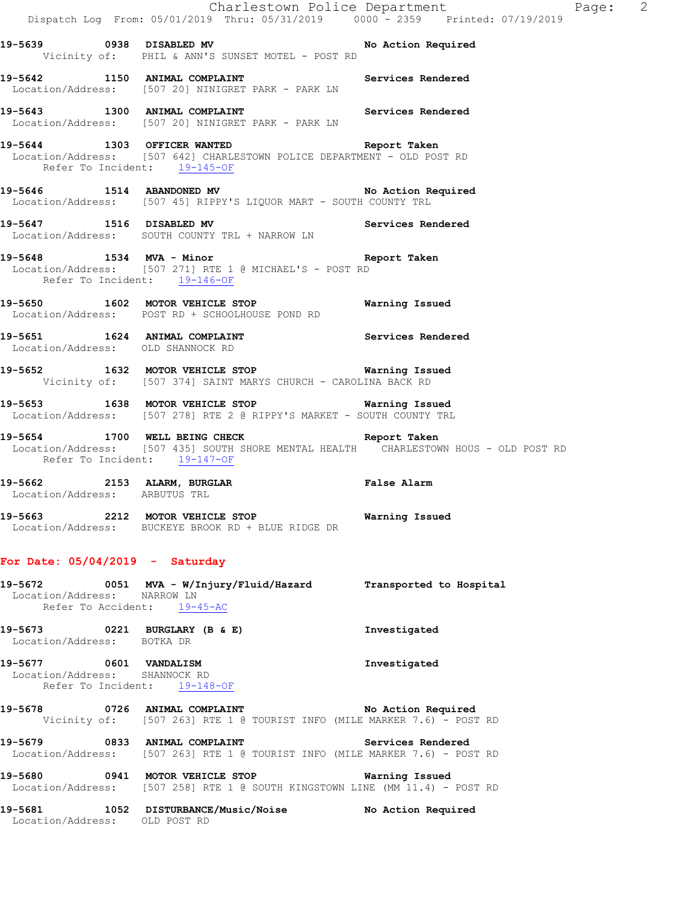Charlestown Police Department Page: 2 Dispatch Log From: 05/01/2019 Thru: 05/31/2019 0000 - 2359 Printed: 07/19/2019 **19-5639 0938 DISABLED MV No Action Required**  Vicinity of: PHIL & ANN'S SUNSET MOTEL - POST RD 19-5642 1150 ANIMAL COMPLAINT **Services Rendered**  Location/Address: [507 20] NINIGRET PARK - PARK LN **19-5643 1300 ANIMAL COMPLAINT Services Rendered**  Location/Address: [507 20] NINIGRET PARK - PARK LN **19-5644 1303 OFFICER WANTED Report Taken**  Location/Address: [507 642] CHARLESTOWN POLICE DEPARTMENT - OLD POST RD Refer To Incident: 19-145-OF **19-5646 1514 ABANDONED MV No Action Required**  Location/Address: [507 45] RIPPY'S LIQUOR MART - SOUTH COUNTY TRL 19-5647 1516 DISABLED MV **Services Rendered**  Location/Address: SOUTH COUNTY TRL + NARROW LN **19-5648 1534 MVA - Minor Report Taken**  Location/Address: [507 271] RTE 1 @ MICHAEL'S - POST RD Refer To Incident: 19-146-OF **19-5650 1602 MOTOR VEHICLE STOP Warning Issued**  Location/Address: POST RD + SCHOOLHOUSE POND RD **19-5651 1624 ANIMAL COMPLAINT Services Rendered**  Location/Address: OLD SHANNOCK RD **19-5652 1632 MOTOR VEHICLE STOP Warning Issued**  Vicinity of: [507 374] SAINT MARYS CHURCH - CAROLINA BACK RD **19-5653 1638 MOTOR VEHICLE STOP Warning Issued**  Location/Address: [507 278] RTE 2 @ RIPPY'S MARKET - SOUTH COUNTY TRL **19-5654 1700 WELL BEING CHECK Report Taken**  Location/Address: [507 435] SOUTH SHORE MENTAL HEALTH CHARLESTOWN HOUS - OLD POST RD Refer To Incident: 19-147-OF **19-5662 2153 ALARM, BURGLAR False Alarm**  Location/Address: ARBUTUS TRL **19-5663 2212 MOTOR VEHICLE STOP Warning Issued**  Location/Address: BUCKEYE BROOK RD + BLUE RIDGE DR **For Date: 05/04/2019 - Saturday 19-5672 0051 MVA - W/Injury/Fluid/Hazard Transported to Hospital**  Location/Address: NARROW LN Refer To Accident: 19-45-AC **19-5673 0221 BURGLARY (B & E) Investigated**  Location/Address: BOTKA DR **19-5677 0601 VANDALISM Investigated**  Location/Address: SHANNOCK RD Refer To Incident: 19-148-OF **19-5678 0726 ANIMAL COMPLAINT No Action Required**  Vicinity of: [507 263] RTE 1 @ TOURIST INFO (MILE MARKER 7.6) - POST RD **19-5679 0833 ANIMAL COMPLAINT Services Rendered**  Location/Address: [507 263] RTE 1 @ TOURIST INFO (MILE MARKER 7.6) - POST RD **19-5680 0941 MOTOR VEHICLE STOP Warning Issued**  Location/Address: [507 258] RTE 1 @ SOUTH KINGSTOWN LINE (MM 11.4) - POST RD **19-5681 1052 DISTURBANCE/Music/Noise No Action Required**  Location/Address: OLD POST RD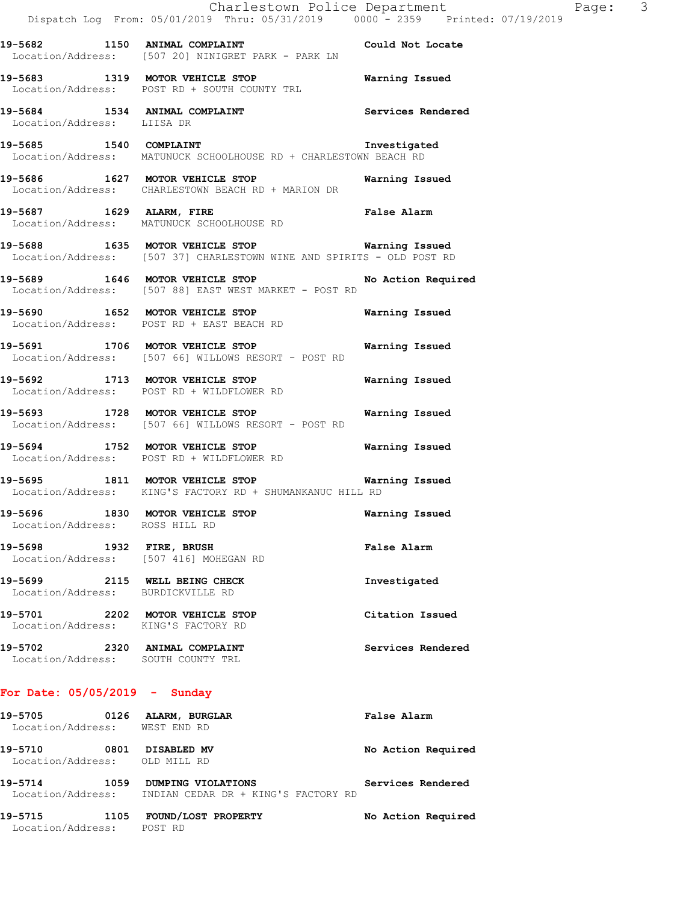**19-5682 1150 ANIMAL COMPLAINT Could Not Locate**  Location/Address: [507 20] NINIGRET PARK - PARK LN **19-5683 1319 MOTOR VEHICLE STOP Warning Issued**  Location/Address: POST RD + SOUTH COUNTY TRL **19-5684 1534 ANIMAL COMPLAINT Services Rendered**  Location/Address: LIISA DR

**19-5685 1540 COMPLAINT Investigated**  Location/Address: MATUNUCK SCHOOLHOUSE RD + CHARLESTOWN BEACH RD

**19-5686 1627 MOTOR VEHICLE STOP Warning Issued**  Location/Address: CHARLESTOWN BEACH RD + MARION DR

**19-5687 1629 ALARM, FIRE False Alarm**  Location/Address: MATUNUCK SCHOOLHOUSE RD

**19-5688 1635 MOTOR VEHICLE STOP Warning Issued**  Location/Address: [507 37] CHARLESTOWN WINE AND SPIRITS - OLD POST RD

**19-5689 1646 MOTOR VEHICLE STOP No Action Required**  Location/Address: [507 88] EAST WEST MARKET - POST RD

**19-5690 1652 MOTOR VEHICLE STOP Warning Issued**  Location/Address: POST RD + EAST BEACH RD

**19-5691 1706 MOTOR VEHICLE STOP Warning Issued**  Location/Address: [507 66] WILLOWS RESORT - POST RD

**19-5692 1713 MOTOR VEHICLE STOP Warning Issued**  Location/Address: POST RD + WILDFLOWER RD

**19-5693 1728 MOTOR VEHICLE STOP Warning Issued**  Location/Address: [507 66] WILLOWS RESORT - POST RD

**19-5694 1752 MOTOR VEHICLE STOP Warning Issued**  Location/Address: POST RD + WILDFLOWER RD

**19-5695 1811 MOTOR VEHICLE STOP Warning Issued**  Location/Address: KING'S FACTORY RD + SHUMANKANUC HILL RD

**19-5696 1830 MOTOR VEHICLE STOP Warning Issued**  Location/Address: ROSS HILL RD

**19-5698 1932 FIRE, BRUSH False Alarm**  Location/Address: [507 416] MOHEGAN RD

**19-5699 2115 WELL BEING CHECK Investigated**  Location/Address: BURDICKVILLE RD **19-5701 2202 MOTOR VEHICLE STOP Citation Issued**  Location/Address: KING'S FACTORY RD

19-5702 2320 ANIMAL COMPLAINT **Services Rendered** 

Location/Address: SOUTH COUNTY TRL

## **For Date: 05/05/2019 - Sunday**

**19-5705 0126 ALARM, BURGLAR False Alarm**  Location/Address: WEST END RD **19-5710 0801 DISABLED MV No Action Required**  Location/Address: OLD MILL RD **19-5714 1059 DUMPING VIOLATIONS Services Rendered** 

Location/Address: INDIAN CEDAR DR + KING'S FACTORY RD

**19-5715 1105 FOUND/LOST PROPERTY No Action Required**  Location/Address: POST RD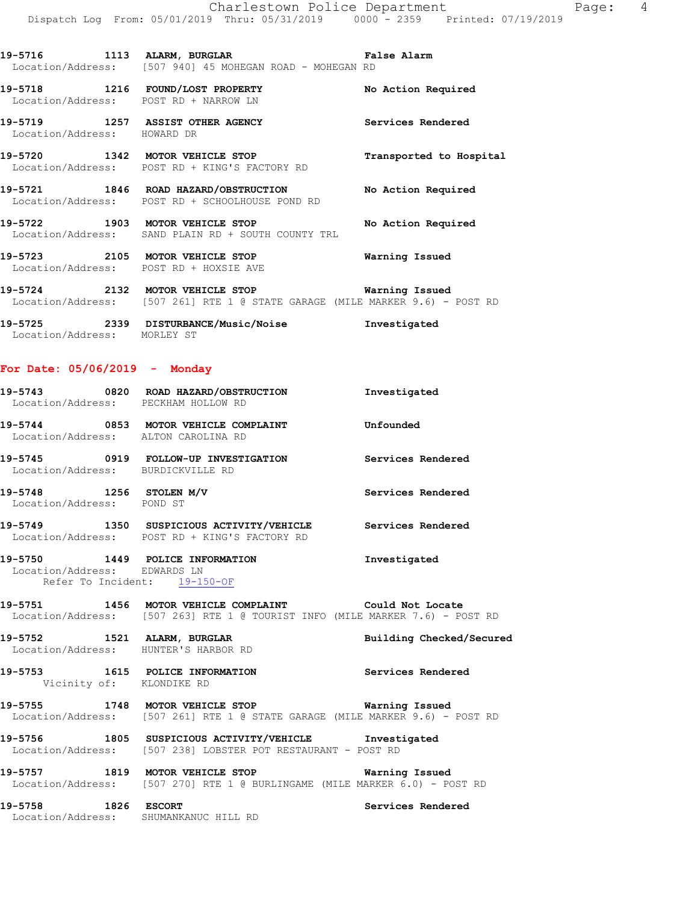| 19–5716           | 1113 ALARM, BURGLAR |  |                                        |  | <b>False Alarm</b> |  |
|-------------------|---------------------|--|----------------------------------------|--|--------------------|--|
| Location/Address: |                     |  | [507 940] 45 MOHEGAN ROAD - MOHEGAN RD |  |                    |  |

**19-5718 1216 FOUND/LOST PROPERTY No Action Required**  Location/Address: POST RD + NARROW LN

**19-5719 1257 ASSIST OTHER AGENCY Services Rendered**  Location/Address: HOWARD DR

**19-5720 1342 MOTOR VEHICLE STOP Transported to Hospital**  Location/Address: POST RD + KING'S FACTORY RD

**19-5721 1846 ROAD HAZARD/OBSTRUCTION No Action Required**  Location/Address: POST RD + SCHOOLHOUSE POND RD

**19-5722 1903 MOTOR VEHICLE STOP No Action Required**  Location/Address: SAND PLAIN RD + SOUTH COUNTY TRL

**19-5723 2105 MOTOR VEHICLE STOP Warning Issued**  Location/Address: POST RD + HOXSIE AVE

**19-5724 2132 MOTOR VEHICLE STOP Warning Issued**  Location/Address: [507 261] RTE 1 @ STATE GARAGE (MILE MARKER 9.6) - POST RD

**19-5725 2339 DISTURBANCE/Music/Noise Investigated**  Location/Address: MORLEY ST

## **For Date: 05/06/2019 - Monday**

| Location/Address: PECKHAM HOLLOW RD                          | 19-5743 0820 ROAD HAZARD/OBSTRUCTION Investigated                                                                                     |                          |
|--------------------------------------------------------------|---------------------------------------------------------------------------------------------------------------------------------------|--------------------------|
| Location/Address: ALTON CAROLINA RD                          | 19-5744 0853 MOTOR VEHICLE COMPLAINT Confounded                                                                                       |                          |
| Location/Address: BURDICKVILLE RD                            |                                                                                                                                       |                          |
| $19-5748$ 1256 STOLEN M/V<br>Location/Address: POND ST       |                                                                                                                                       | Services Rendered        |
|                                                              | 19-5749 1350 SUSPICIOUS ACTIVITY/VEHICLE Services Rendered<br>Location/Address: POST RD + KING'S FACTORY RD                           |                          |
| Location/Address: EDWARDS LN<br>Refer To Incident: 19-150-OF | 19-5750 1449 POLICE INFORMATION                                                                                                       | Investigated             |
|                                                              | 19-5751 1456 MOTOR VEHICLE COMPLAINT Could Not Locate<br>Location/Address: [507 263] RTE 1 @ TOURIST INFO (MILE MARKER 7.6) - POST RD |                          |
|                                                              | 19-5752 1521 ALARM, BURGLAR<br>Location/Address: HUNTER'S HARBOR RD                                                                   | Building Checked/Secured |
| Vicinity of: KLONDIKE RD                                     | 19-5753 1615 POLICE INFORMATION Services Rendered                                                                                     |                          |
|                                                              | 19-5755 1748 MOTOR VEHICLE STOP <b>Warning Issued</b><br>Location/Address: [507 261] RTE 1 @ STATE GARAGE (MILE MARKER 9.6) - POST RD |                          |
|                                                              | 19-5756 1805 SUSPICIOUS ACTIVITY/VEHICLE Investigated<br>Location/Address: [507 238] LOBSTER POT RESTAURANT - POST RD                 |                          |
|                                                              | 19-5757 1819 MOTOR VEHICLE STOP <b>Warning Issued</b><br>Location/Address: [507 270] RTE 1 @ BURLINGAME (MILE MARKER 6.0) - POST RD   |                          |
| 19-5758 1826 ESCORT<br>Location/Address: SHUMANKANUC HILL RD |                                                                                                                                       | Services Rendered        |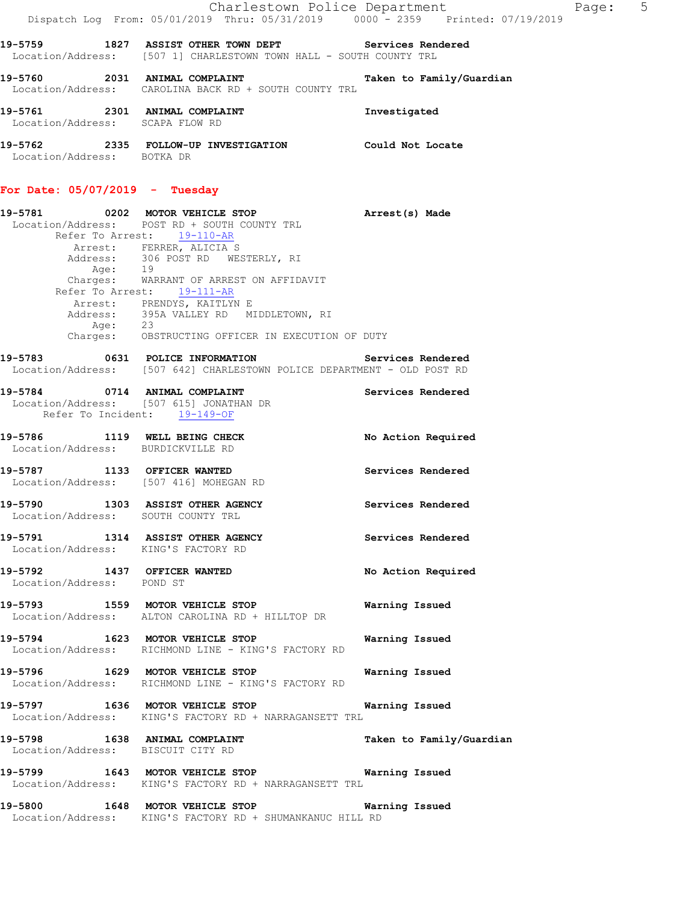|                                                    | Charlestown Police Department                                                                | Dispatch Log From: 05/01/2019 Thru: 05/31/2019 0000 - 2359 Printed: 07/19/2019 |
|----------------------------------------------------|----------------------------------------------------------------------------------------------|--------------------------------------------------------------------------------|
| 19-5759<br>1827                                    | ASSIST OTHER TOWN DEPT<br>Location/Address: [507 1] CHARLESTOWN TOWN HALL - SOUTH COUNTY TRL | Services Rendered                                                              |
| 19-5760<br>2031                                    | ANIMAL COMPLAINT<br>Location/Address: CAROLINA BACK RD + SOUTH COUNTY TRL                    | Taken to Family/Guardian                                                       |
| 19-5761<br>2301<br>Location/Address: SCAPA FLOW RD | ANIMAL COMPLAINT                                                                             | Investigated                                                                   |
| 19-5762<br>2335<br>Location/Address:               | FOLLOW-UP INVESTIGATION<br>BOTKA DR                                                          | Could Not Locate                                                               |

# **For Date: 05/07/2019 - Tuesday**

|                                    | 19-5781 0202 MOTOR VEHICLE STOP                                                                                     | Arrest(s) Made           |
|------------------------------------|---------------------------------------------------------------------------------------------------------------------|--------------------------|
|                                    | Location/Address: POST RD + SOUTH COUNTY TRL                                                                        |                          |
|                                    | Refer To Arrest: 19-110-AR                                                                                          |                          |
|                                    |                                                                                                                     |                          |
|                                    | Arrest: FERRER, ALICIA S<br>Address: 306 POST RD WESTERLY, RI<br>Age: 19<br>Charges: WARRANT OF ARREST ON AFFIDAVIT |                          |
|                                    |                                                                                                                     |                          |
|                                    |                                                                                                                     |                          |
|                                    | Refer To Arrest: 19-111-AR                                                                                          |                          |
|                                    | Arrest: PRENDYS, KAITLYN E<br>Address: 395A VALLEY RD MIDDLETOWN, RI                                                |                          |
|                                    |                                                                                                                     |                          |
| Age: 23                            |                                                                                                                     |                          |
|                                    | Charges: OBSTRUCTING OFFICER IN EXECUTION OF DUTY                                                                   |                          |
|                                    | 19-5783 0631 POLICE INFORMATION Services Rendered                                                                   |                          |
|                                    | Location/Address: [507 642] CHARLESTOWN POLICE DEPARTMENT - OLD POST RD                                             |                          |
| 19-5784 0714 ANIMAL COMPLAINT      |                                                                                                                     | Services Rendered        |
|                                    | Location/Address: [507 615] JONATHAN DR                                                                             |                          |
| Refer To Incident: 19-149-OF       |                                                                                                                     |                          |
|                                    | 19-5786 1119 WELL BEING CHECK                                                                                       | No Action Required       |
|                                    | Location/Address: BURDICKVILLE RD                                                                                   |                          |
|                                    |                                                                                                                     |                          |
|                                    | 19-5787 1133 OFFICER WANTED                                                                                         | Services Rendered        |
|                                    | Location/Address: [507 416] MOHEGAN RD                                                                              |                          |
|                                    |                                                                                                                     |                          |
|                                    | 19-5790 1303 ASSIST OTHER AGENCY                                                                                    | Services Rendered        |
| Location/Address: SOUTH COUNTY TRL |                                                                                                                     |                          |
|                                    | 19-5791 1314 ASSIST OTHER AGENCY                                                                                    | Services Rendered        |
|                                    | Location/Address: KING'S FACTORY RD                                                                                 |                          |
|                                    |                                                                                                                     |                          |
|                                    | 19-5792 1437 OFFICER WANTED                                                                                         | No Action Required       |
| Location/Address: POND ST          |                                                                                                                     |                          |
|                                    |                                                                                                                     |                          |
|                                    | 19-5793 1559 MOTOR VEHICLE STOP<br>Location/Address: ALTON CAROLINA RD + HILLTOP DR                                 | Warning Issued           |
|                                    |                                                                                                                     |                          |
|                                    | 19-5794 1623 MOTOR VEHICLE STOP                                                                                     | Warning Issued           |
|                                    | Location/Address: RICHMOND LINE - KING'S FACTORY RD                                                                 |                          |
|                                    |                                                                                                                     |                          |
|                                    |                                                                                                                     | Warning Issued           |
|                                    | 19-5796 1629 MOTOR VEHICLE STOP<br>Location/Address: RICHMOND LINE - KING'S FACTORY RD                              |                          |
|                                    |                                                                                                                     |                          |
|                                    | 19-5797 1636 MOTOR VEHICLE STOP                                                                                     | Warning Issued           |
|                                    | Location/Address: KING'S FACTORY RD + NARRAGANSETT TRL                                                              |                          |
|                                    | 19-5798 1638 ANIMAL COMPLAINT                                                                                       |                          |
|                                    | Location/Address: BISCUIT CITY RD                                                                                   | Taken to Family/Guardian |
|                                    |                                                                                                                     |                          |
|                                    | 19-5799 1643 MOTOR VEHICLE STOP                                                                                     | Warning Issued           |
|                                    | Location/Address: KING'S FACTORY RD + NARRAGANSETT TRL                                                              |                          |
|                                    |                                                                                                                     |                          |
|                                    | 19-5800 1648 MOTOR VEHICLE STOP                                                                                     | Warning Issued           |
|                                    | Location/Address: KING'S FACTORY RD + SHUMANKANUC HILL RD                                                           |                          |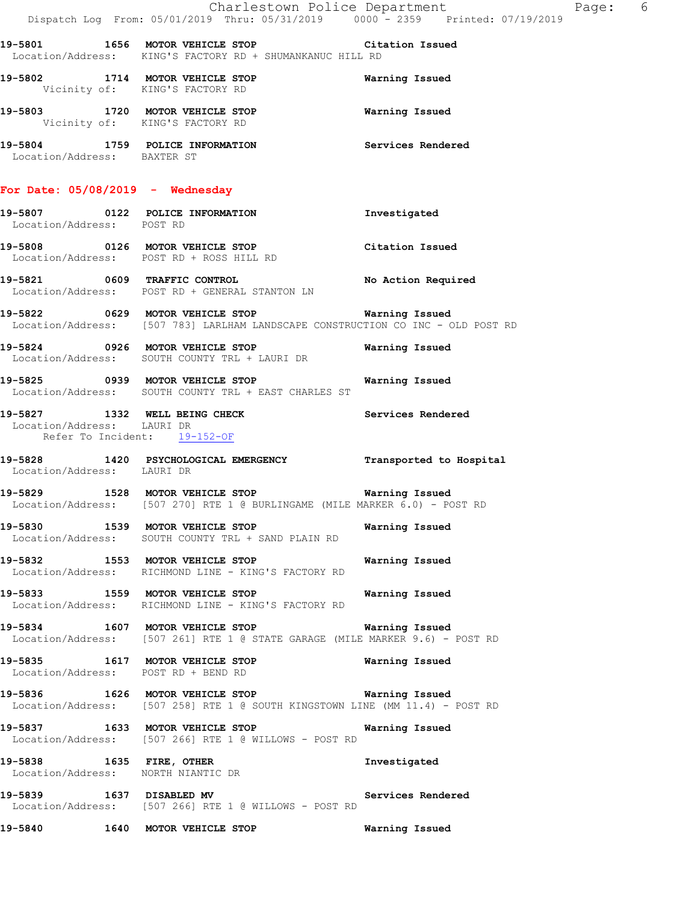|                                                            | Dispatch Log From: 05/01/2019 Thru: 05/31/2019   0000 - 2359   Printed: 07/19/2019                                                    | Charlestown Police Department<br>Page: 6 |
|------------------------------------------------------------|---------------------------------------------------------------------------------------------------------------------------------------|------------------------------------------|
|                                                            | 19-5801 1656 MOTOR VEHICLE STOP Citation Issued<br>Location/Address: KING'S FACTORY RD + SHUMANKANUC HILL RD                          |                                          |
| Vicinity of: KING'S FACTORY RD                             | 19-5802 1714 MOTOR VEHICLE STOP <b>WATER WATER</b>                                                                                    |                                          |
| Vicinity of: KING'S FACTORY RD                             | 19-5803 1720 MOTOR VEHICLE STOP 6 Warning Issued                                                                                      |                                          |
| Location/Address: BAXTER ST                                | 19-5804 1759 POLICE INFORMATION Services Rendered                                                                                     |                                          |
| For Date: $05/08/2019$ - Wednesday                         |                                                                                                                                       |                                          |
| Location/Address: POST RD                                  | 19-5807 0122 POLICE INFORMATION 1nvestigated                                                                                          |                                          |
|                                                            | 19-5808 0126 MOTOR VEHICLE STOP Citation Issued<br>Location/Address: POST RD + ROSS HILL RD                                           |                                          |
|                                                            | 19-5821 0609 TRAFFIC CONTROL No Action Required<br>Location/Address: POST RD + GENERAL STANTON LN                                     |                                          |
|                                                            | Location/Address: [507 783] LARLHAM LANDSCAPE CONSTRUCTION CO INC - OLD POST RD                                                       |                                          |
|                                                            | 19-5824 0926 MOTOR VEHICLE STOP 6 Warning Issued<br>Location/Address: SOUTH COUNTY TRL + LAURI DR                                     |                                          |
|                                                            | 19-5825 0939 MOTOR VEHICLE STOP 6 Warning Issued<br>Location/Address: SOUTH COUNTY TRL + EAST CHARLES ST                              |                                          |
| Location/Address: LAURI DR<br>Refer To Incident: 19-152-OF | 19-5827 1332 WELL BEING CHECK Services Rendered                                                                                       |                                          |
| Location/Address: LAURI DR                                 | 19-5828 1420 PSYCHOLOGICAL EMERGENCY Transported to Hospital                                                                          |                                          |
|                                                            | 19-5829 1528 MOTOR VEHICLE STOP Warning Issued<br>Location/Address: [507 270] RTE 1 @ BURLINGAME (MILE MARKER 6.0) - POST RD          |                                          |
|                                                            | 19-5830 1539 MOTOR VEHICLE STOP 6 Warning Issued<br>Location/Address: SOUTH COUNTY TRL + SAND PLAIN RD                                |                                          |
|                                                            | 19-5832 1553 MOTOR VEHICLE STOP 6 Warning Issued<br>Location/Address: RICHMOND LINE - KING'S FACTORY RD                               |                                          |
|                                                            | 19-5833 1559 MOTOR VEHICLE STOP<br>Location/Address: RICHMOND LINE - KING'S FACTORY RD                                                | Warning Issued                           |
|                                                            | 19-5834 1607 MOTOR VEHICLE STOP 19 Warning Issued<br>Location/Address: [507 261] RTE 1 @ STATE GARAGE (MILE MARKER 9.6) - POST RD     |                                          |
| Location/Address: POST RD + BEND RD                        | 19-5835 1617 MOTOR VEHICLE STOP 1997 Warning Issued                                                                                   |                                          |
|                                                            | 19-5836 1626 MOTOR VEHICLE STOP <b>Warning Issued</b><br>Location/Address: [507 258] RTE 1 @ SOUTH KINGSTOWN LINE (MM 11.4) - POST RD |                                          |
|                                                            | 19-5837 1633 MOTOR VEHICLE STOP<br>Location/Address: [507 266] RTE 1 @ WILLOWS - POST RD                                              | Warning Issued                           |
| Location/Address: NORTH NIANTIC DR                         | 19-5838 1635 FIRE, OTHER                                                                                                              | Investigated                             |
|                                                            | 19-5839 1637 DISABLED MV<br>Location/Address: [507 266] RTE 1 @ WILLOWS - POST RD                                                     | Services Rendered                        |
|                                                            | 19-5840 1640 MOTOR VEHICLE STOP                                                                                                       | Warning Issued                           |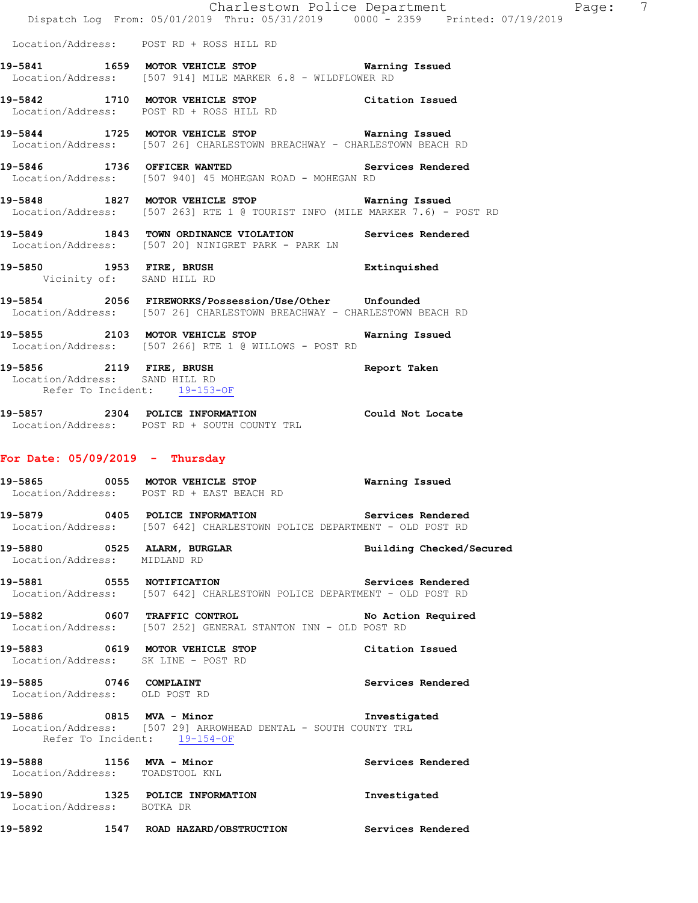|                                                              | Dispatch Log From: 05/01/2019 Thru: 05/31/2019 0000 - 2359 Printed: 07/19/2019                                                   | Charlestown Police Department | 7<br>Page: |  |
|--------------------------------------------------------------|----------------------------------------------------------------------------------------------------------------------------------|-------------------------------|------------|--|
|                                                              | Location/Address: POST RD + ROSS HILL RD                                                                                         |                               |            |  |
|                                                              | 19-5841 1659 MOTOR VEHICLE STOP 19-5841<br>Location/Address: [507 914] MILE MARKER 6.8 - WILDFLOWER RD                           |                               |            |  |
|                                                              | 19-5842 1710 MOTOR VEHICLE STOP Citation Issued<br>Location/Address: POST RD + ROSS HILL RD                                      |                               |            |  |
|                                                              | 19-5844 1725 MOTOR VEHICLE STOP 6 Warning Issued<br>Location/Address: [507 26] CHARLESTOWN BREACHWAY - CHARLESTOWN BEACH RD      |                               |            |  |
|                                                              | 19-5846 1736 OFFICER WANTED Services Rendered<br>Location/Address: [507 940] 45 MOHEGAN ROAD - MOHEGAN RD                        |                               |            |  |
|                                                              | 19-5848 1827 MOTOR VEHICLE STOP 5 Warning Issued<br>Location/Address: [507 263] RTE 1 @ TOURIST INFO (MILE MARKER 7.6) - POST RD |                               |            |  |
|                                                              | 19-5849 1843 TOWN ORDINANCE VIOLATION Services Rendered<br>Location/Address: [507 20] NINIGRET PARK - PARK LN                    |                               |            |  |
| Vicinity of: SAND HILL RD                                    | 19-5850 1953 FIRE, BRUSH                                                                                                         | Extinquished                  |            |  |
|                                                              | 19-5854 2056 FIREWORKS/Possession/Use/Other Unfounded<br>Location/Address: [507 26] CHARLESTOWN BREACHWAY - CHARLESTOWN BEACH RD |                               |            |  |
|                                                              | 19-5855 2103 MOTOR VEHICLE STOP<br>Location/Address: [507 266] RTE 1 @ WILLOWS - POST RD                                         | Warning Issued                |            |  |
| Location/Address: SAND HILL RD<br>Refer To Incident: 19-153- | 19-5856 2119 FIRE, BRUSH<br>Refer To Incident: 19-153-OF                                                                         | Report Taken                  |            |  |
|                                                              | 19-5857 2304 POLICE INFORMATION<br>Location/Address: POST RD + SOUTH COUNTY TRL                                                  | Could Not Locate              |            |  |
| For Date: $05/09/2019$ - Thursday                            |                                                                                                                                  |                               |            |  |
|                                                              | 19-5865 0055 MOTOR VEHICLE STOP<br>Location/Address: POST RD + EAST BEACH RD                                                     | Warning Issued                |            |  |
|                                                              | 19-5879 0405 POLICE INFORMATION Services Rendered<br>Location/Address: [507 642] CHARLESTOWN POLICE DEPARTMENT - OLD POST RD     |                               |            |  |
| Location/Address: MIDLAND RD                                 | 19-5880 0525 ALARM, BURGLAR                                                                                                      | Building Checked/Secured      |            |  |
|                                                              | 19-5881 0555 NOTIFICATION<br>Location/Address: [507 642] CHARLESTOWN POLICE DEPARTMENT - OLD POST RD                             | Services Rendered             |            |  |
|                                                              | 19-5882 0607 TRAFFIC CONTROL No Action Required<br>Location/Address: [507 252] GENERAL STANTON INN - OLD POST RD                 |                               |            |  |
|                                                              | 19-5883 0619 MOTOR VEHICLE STOP<br>Location/Address: SK LINE - POST RD                                                           | Citation Issued               |            |  |
| Location/Address: OLD POST RD                                | 19-5885 0746 COMPLAINT                                                                                                           | Services Rendered             |            |  |
|                                                              | 19-5886 0815 MVA - Minor<br>Location/Address: [507 29] ARROWHEAD DENTAL - SOUTH COUNTY TRL<br>Refer To Incident: 19-154-OF       | Investigated                  |            |  |
| 19-5888 1156 MVA - Minor<br>Location/Address: TOADSTOOL KNL  |                                                                                                                                  | Services Rendered             |            |  |
| Location/Address: BOTKA DR                                   | 19-5890 1325 POLICE INFORMATION                                                                                                  | Investigated                  |            |  |
|                                                              | 19-5892 1547 ROAD HAZARD/OBSTRUCTION Services Rendered                                                                           |                               |            |  |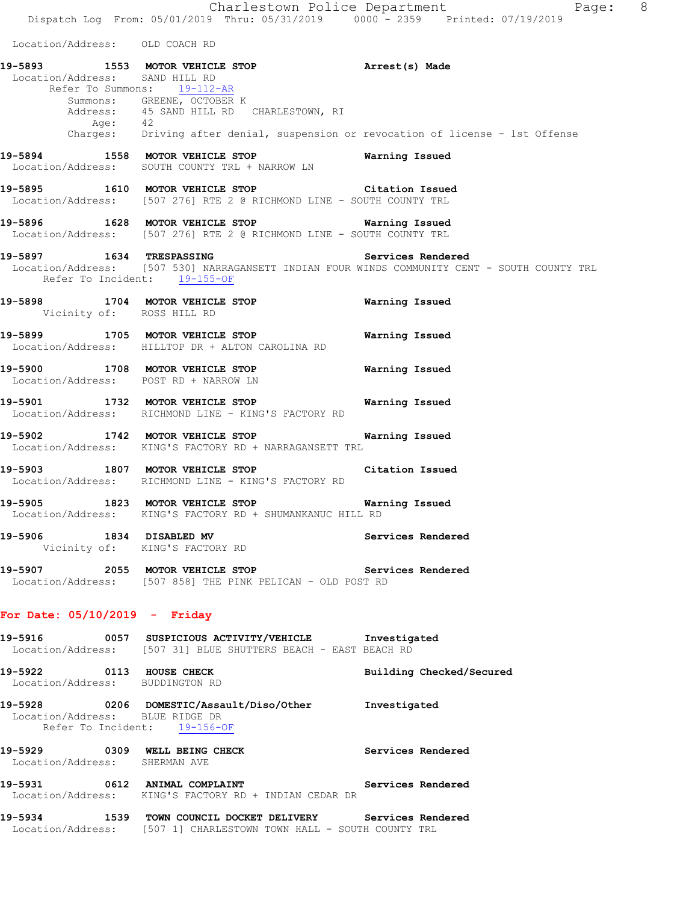Charlestown Police Department Fage: 8 Dispatch Log From: 05/01/2019 Thru: 05/31/2019 0000 - 2359 Printed: 07/19/2019 Location/Address: OLD COACH RD **19-5893 1553 MOTOR VEHICLE STOP Arrest(s) Made**  Location/Address: SAND HILL RD Refer To Summons: 19-112-AR Summons: GREENE, OCTOBER K Address: 45 SAND HILL RD CHARLESTOWN, RI Age: 42 Charges: Driving after denial, suspension or revocation of license - 1st Offense **19-5894 1558 MOTOR VEHICLE STOP Warning Issued**  Location/Address: SOUTH COUNTY TRL + NARROW LN **19-5895 1610 MOTOR VEHICLE STOP Citation Issued**  Location/Address: [507 276] RTE 2 @ RICHMOND LINE - SOUTH COUNTY TRL **19-5896 1628 MOTOR VEHICLE STOP Warning Issued**  Location/Address: [507 276] RTE 2 @ RICHMOND LINE - SOUTH COUNTY TRL **19-5897 1634 TRESPASSING Services Rendered**  Location/Address: [507 530] NARRAGANSETT INDIAN FOUR WINDS COMMUNITY CENT - SOUTH COUNTY TRL Refer To Incident: 19-155-OF **19-5898 1704 MOTOR VEHICLE STOP Warning Issued**  Vicinity of: ROSS HILL RD **19-5899 1705 MOTOR VEHICLE STOP Warning Issued**  Location/Address: HILLTOP DR + ALTON CAROLINA RD **19-5900 1708 MOTOR VEHICLE STOP Warning Issued**  Location/Address: POST RD + NARROW LN **19-5901 1732 MOTOR VEHICLE STOP Warning Issued**  Location/Address: RICHMOND LINE - KING'S FACTORY RD **19-5902 1742 MOTOR VEHICLE STOP Warning Issued**  Location/Address: KING'S FACTORY RD + NARRAGANSETT TRL **19-5903 1807 MOTOR VEHICLE STOP Citation Issued**  Location/Address: RICHMOND LINE - KING'S FACTORY RD **19-5905 1823 MOTOR VEHICLE STOP Warning Issued**  Location/Address: KING'S FACTORY RD + SHUMANKANUC HILL RD **19-5906 1834 DISABLED MV Services Rendered**  Vicinity of: KING'S FACTORY RD **19-5907 2055 MOTOR VEHICLE STOP Services Rendered**  Location/Address: [507 858] THE PINK PELICAN - OLD POST RD **For Date: 05/10/2019 - Friday 19-5916 0057 SUSPICIOUS ACTIVITY/VEHICLE Investigated**  Location/Address: [507 31] BLUE SHUTTERS BEACH - EAST BEACH RD **19-5922 0113 HOUSE CHECK Building Checked/Secured**  Location/Address: **19-5928 0206 DOMESTIC/Assault/Diso/Other Investigated**  Location/Address: BLUE RIDGE DR Refer To Incident: 19-156-OF 19-5929 **0309** WELL BEING CHECK **CHECK** Services Rendered Location/Address: SHERMAN AVE **19-5931 0612 ANIMAL COMPLAINT Services Rendered**  Location/Address: KING'S FACTORY RD + INDIAN CEDAR DR

**19-5934 1539 TOWN COUNCIL DOCKET DELIVERY Services Rendered**  Location/Address: [507 1] CHARLESTOWN TOWN HALL - SOUTH COUNTY TRL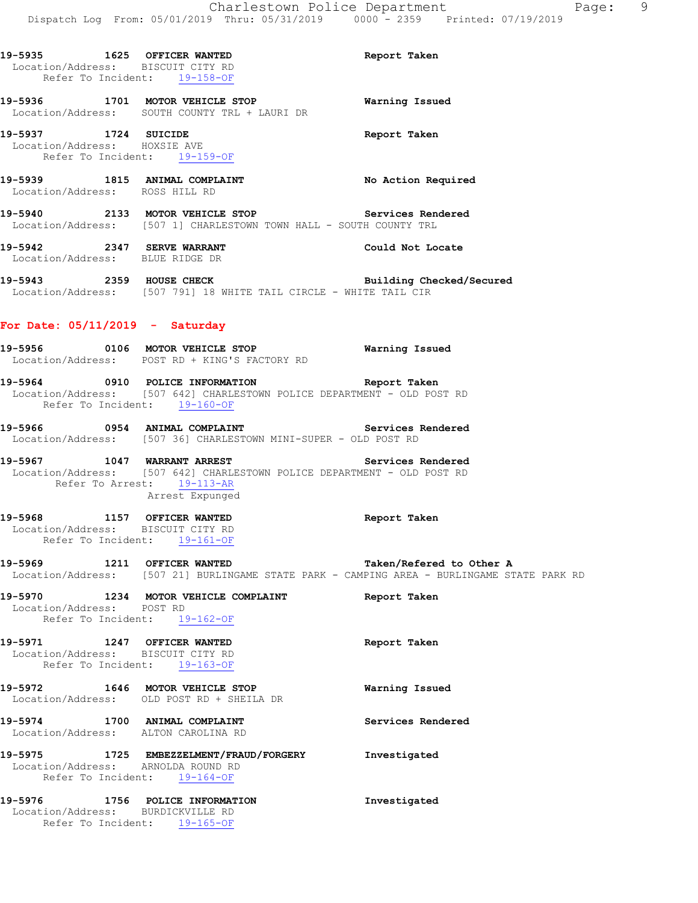| 19-5935 1625 OFFICER WANTED                                      | Location/Address: BISCUIT CITY RD<br>Refer To Incident: 19-158-OF                                                                                                                                                                | Report Taken             |
|------------------------------------------------------------------|----------------------------------------------------------------------------------------------------------------------------------------------------------------------------------------------------------------------------------|--------------------------|
|                                                                  | 19-5936 1701 MOTOR VEHICLE STOP<br>Location/Address: SOUTH COUNTY TRL + LAURI DR                                                                                                                                                 | <b>Warning Issued</b>    |
| 19-5937 1724 SUICIDE                                             | Location/Address: HOXSIE AVE<br>Refer To Incident: 19-159-OF                                                                                                                                                                     | Report Taken             |
| Location/Address: ROSS HILL RD                                   | 19-5939 1815 ANIMAL COMPLAINT No Action Required                                                                                                                                                                                 |                          |
|                                                                  | 19-5940 2133 MOTOR VEHICLE STOP Services Rendered<br>Location/Address: [507 1] CHARLESTOWN TOWN HALL - SOUTH COUNTY TRL                                                                                                          |                          |
|                                                                  | 19-5942 2347 SERVE WARRANT<br>Location/Address: BLUE RIDGE DR                                                                                                                                                                    | Could Not Locate         |
|                                                                  | 19-5943 2359 HOUSE CHECK Building Checked/Secured<br>Location/Address: [507 791] 18 WHITE TAIL CIRCLE - WHITE TAIL CIR                                                                                                           |                          |
| For Date: $05/11/2019$ - Saturday                                |                                                                                                                                                                                                                                  |                          |
|                                                                  | 19-5956 0106 MOTOR VEHICLE STOP<br>Location/Address: POST RD + KING'S FACTORY RD                                                                                                                                                 | <b>Warning Issued</b>    |
|                                                                  | 19-5964 0910 POLICE INFORMATION Report Taken<br>Location/Address: [507 642] CHARLESTOWN POLICE DEPARTMENT - OLD POST RD<br>Refer To Incident: 19-160-OF                                                                          |                          |
|                                                                  | 19-5966 0954 ANIMAL COMPLAINT Services Rendered<br>Location/Address: [507 36] CHARLESTOWN MINI-SUPER - OLD POST RD                                                                                                               |                          |
|                                                                  | <br>19-5967                1047     WARRANT ARREST                                 Services Rendered<br>Location/Address: [507 642] CHARLESTOWN POLICE DEPARTMENT - OLD POST RD<br>Refer To Arrest: 19-113-AR<br>Arrest Expunged |                          |
| Location/Address: BISCUIT CITY RD                                | 19-5968 1157 OFFICER WANTED<br>Refer To Incident: 19-161-OF                                                                                                                                                                      | Report Taken             |
| 19-5969 1211 OFFICER WANTED                                      | Location/Address: [507 21] BURLINGAME STATE PARK - CAMPING AREA - BURLINGAME ST.                                                                                                                                                 | Taken/Refered to Other A |
| Location/Address: POST RD                                        | 19-5970 1234 MOTOR VEHICLE COMPLAINT<br>Refer To Incident: 19-162-OF                                                                                                                                                             | Report Taken             |
| 19-5971 1247 OFFICER WANTED<br>Location/Address: BISCUIT CITY RD | Refer To Incident: 19-163-OF                                                                                                                                                                                                     | Report Taken             |
|                                                                  | 19-5972 1646 MOTOR VEHICLE STOP<br>Location/Address: OLD POST RD + SHEILA DR                                                                                                                                                     | Warning Issued           |
|                                                                  | 19-5974 1700 ANIMAL COMPLAINT<br>Location/Address: ALTON CAROLINA RD                                                                                                                                                             | Services Rendered        |
|                                                                  | 19-5975 1725 EMBEZZELMENT/FRAUD/FORGERY<br>Location/Address: ARNOLDA ROUND RD<br>Refer To Incident: 19-164-OF                                                                                                                    | Investigated             |
|                                                                  | 19-5976 1756 POLICE INFORMATION                                                                                                                                                                                                  | Investigated             |

STATE PARK RD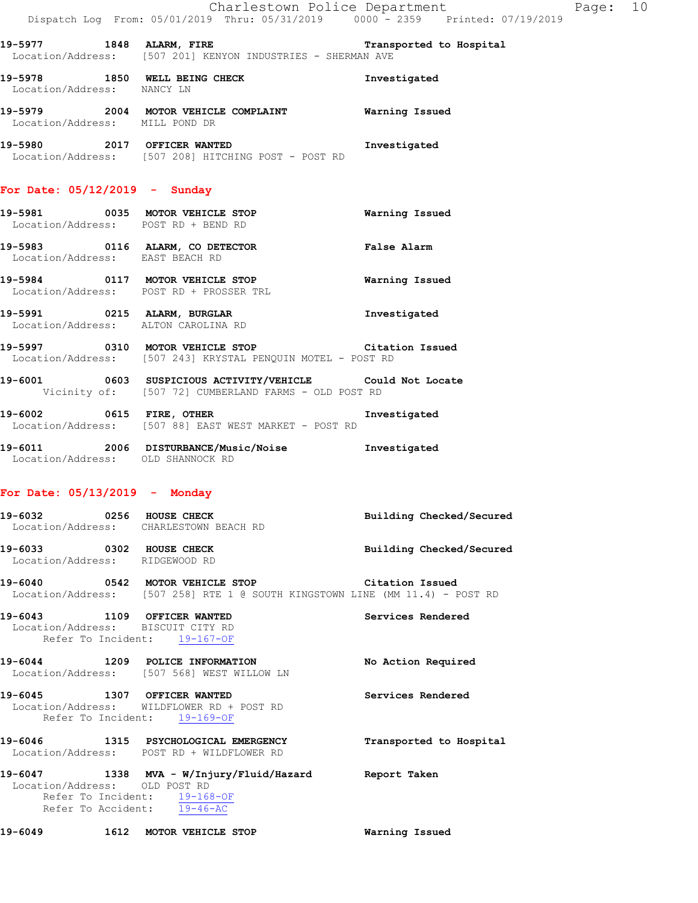|  |                                                | Charlestown Police Department |                                 | Page: | 10 |
|--|------------------------------------------------|-------------------------------|---------------------------------|-------|----|
|  | Dispatch Log From: 05/01/2019 Thru: 05/31/2019 |                               | 0000 - 2359 Printed: 07/19/2019 |       |    |

**19-5977 1848 ALARM, FIRE Transported to Hospital**  Location/Address: [507 201] KENYON INDUSTRIES - SHERMAN AVE

19-5978 1850 WELL BEING CHECK **Investigated**  Location/Address: NANCY LN **19-5979 2004 MOTOR VEHICLE COMPLAINT Warning Issued**  Location/Address: MILL POND DR

**19-5980 2017 OFFICER WANTED Investigated**  Location/Address: [507 208] HITCHING POST - POST RD

## **For Date: 05/12/2019 - Sunday**

| 19-5981                      | 0035 | <b>MOTOR VEHICLE STOP</b><br>Location/Address: POST RD + BEND RD | Warning Issued     |
|------------------------------|------|------------------------------------------------------------------|--------------------|
| 19-5983                      | 0116 | ALARM, CO DETECTOR<br>Location/Address: EAST BEACH RD            | <b>False Alarm</b> |
| 19-5984<br>Location/Address: | 0117 | MOTOR VEHICLE STOP<br>POST RD + PROSSER TRL                      | Warning Issued     |

**19-5991 0215 ALARM, BURGLAR Investigated**  Location/Address: ALTON CAROLINA RD

**19-5997 0310 MOTOR VEHICLE STOP Citation Issued**  Location/Address: [507 243] KRYSTAL PENQUIN MOTEL - POST RD

**19-6001 0603 SUSPICIOUS ACTIVITY/VEHICLE Could Not Locate**  Vicinity of: [507 72] CUMBERLAND FARMS - OLD POST RD

**19-6002 0615 FIRE, OTHER Investigated**  Location/Address: [507 88] EAST WEST MARKET - POST RD

**19-6011 2006 DISTURBANCE/Music/Noise Investigated**  Location/Address: OLD SHANNOCK RD

#### **For Date: 05/13/2019 - Monday**

Refer To Incident: 19-169-OF

| 19-6032<br>Location/Address: | 0256 | HOUSE CHECK<br>CHARLESTOWN BEACH RD | Building Checked/Secured |
|------------------------------|------|-------------------------------------|--------------------------|
| 19-6033<br>Location/Address: | 0302 | HOUSE CHECK<br>RIDGEWOOD RD         | Building Checked/Secured |

**19-6040 0542 MOTOR VEHICLE STOP Citation Issued**  Location/Address: [507 258] RTE 1 @ SOUTH KINGSTOWN LINE (MM 11.4) - POST RD

**19-6043 1109 OFFICER WANTED Services Rendered**  Location/Address: BISCUIT CITY RD Refer To Incident: 19-167-OF

**19-6044 1209 POLICE INFORMATION No Action Required**  Location/Address: [507 568] WEST WILLOW LN **19-6045 1307 OFFICER WANTED Services Rendered**  Location/Address: WILDFLOWER RD + POST RD

**19-6046 1315 PSYCHOLOGICAL EMERGENCY Transported to Hospital**  Location/Address: POST RD + WILDFLOWER RD

**19-6047 1338 MVA - W/Injury/Fluid/Hazard Report Taken**  Location/Address: OLD POST RD Refer To Incident: 19-168-OF Refer To Accident: 19-46-AC

**19-6049 1612 MOTOR VEHICLE STOP Warning Issued**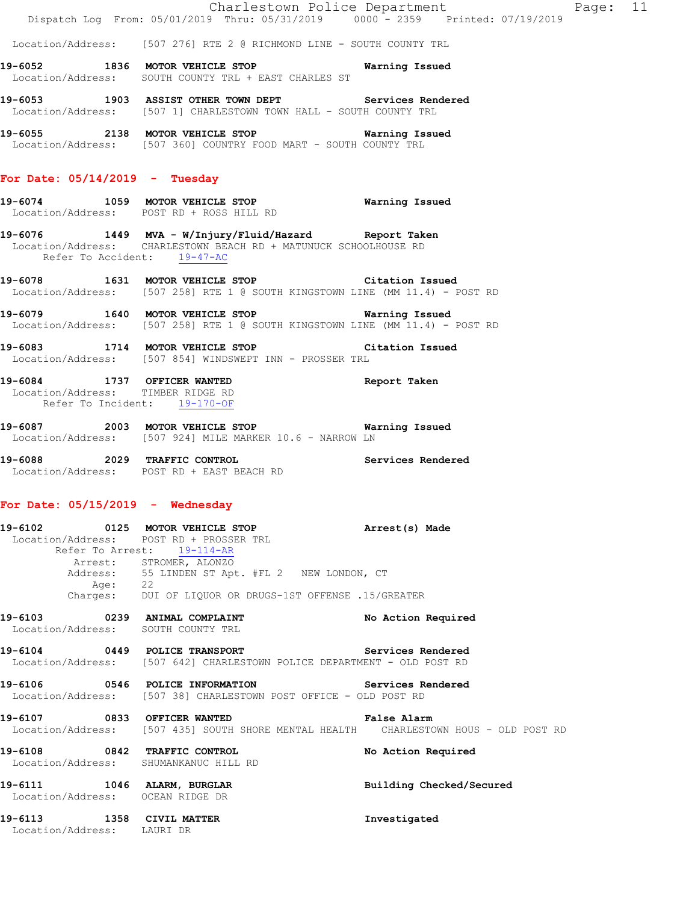Location/Address: [507 276] RTE 2 @ RICHMOND LINE - SOUTH COUNTY TRL

- **19-6052 1836 MOTOR VEHICLE STOP Warning Issued**  Location/Address: SOUTH COUNTY TRL + EAST CHARLES ST
- **19-6053 1903 ASSIST OTHER TOWN DEPT Services Rendered**  Location/Address: [507 1] CHARLESTOWN TOWN HALL - SOUTH COUNTY TRL
- **19-6055 2138 MOTOR VEHICLE STOP Warning Issued**  Location/Address: [507 360] COUNTRY FOOD MART - SOUTH COUNTY TRL

#### **For Date: 05/14/2019 - Tuesday**

- **19-6074 1059 MOTOR VEHICLE STOP Warning Issued**  Location/Address: POST RD + ROSS HILL RD
- **19-6076 1449 MVA W/Injury/Fluid/Hazard Report Taken**  Location/Address: CHARLESTOWN BEACH RD + MATUNUCK SCHOOLHOUSE RD Refer To Accident: 19-47-AC
- **19-6078 1631 MOTOR VEHICLE STOP Citation Issued**  Location/Address: [507 258] RTE 1 @ SOUTH KINGSTOWN LINE (MM 11.4) - POST RD
- **19-6079 1640 MOTOR VEHICLE STOP Warning Issued**  Location/Address: [507 258] RTE 1 @ SOUTH KINGSTOWN LINE (MM 11.4) - POST RD
- **19-6083 1714 MOTOR VEHICLE STOP Citation Issued**  Location/Address: [507 854] WINDSWEPT INN - PROSSER TRL
- **19-6084 1737 OFFICER WANTED Report Taken**  Location/Address: TIMBER RIDGE RD Refer To Incident: 19-170-OF
- **19-6087 2003 MOTOR VEHICLE STOP Warning Issued**  Location/Address: [507 924] MILE MARKER 10.6 - NARROW LN
- **19-6088 2029 TRAFFIC CONTROL Services Rendered**  Location/Address: POST RD + EAST BEACH RD

#### **For Date: 05/15/2019 - Wednesday**

- **19-6102 0125 MOTOR VEHICLE STOP Arrest(s) Made**  Location/Address: POST RD + PROSSER TRL Refer To Arrest: 19-114-AR Arrest: STROMER, ALONZO Address: 55 LINDEN ST Apt. #FL 2 NEW LONDON, CT Age: 22 Charges: DUI OF LIQUOR OR DRUGS-1ST OFFENSE .15/GREATER
- **19-6103 0239 ANIMAL COMPLAINT No Action Required**  Location/Address: SOUTH COUNTY TRL
- 19-6104 **0449** POLICE TRANSPORT **Services** Rendered Location/Address: [507 642] CHARLESTOWN POLICE DEPARTMENT - OLD POST RD
- **19-6106 0546 POLICE INFORMATION Services Rendered**  Location/Address: [507 38] CHARLESTOWN POST OFFICE - OLD POST RD
- **19-6107 0833 OFFICER WANTED False Alarm**  Location/Address: [507 435] SOUTH SHORE MENTAL HEALTH CHARLESTOWN HOUS - OLD POST RD
- **19-6108 0842 TRAFFIC CONTROL No Action Required**  Location/Address: SHUMANKANUC HILL RD **19-6111 1046 ALARM, BURGLAR Building Checked/Secured**
- Location/Address: OCEAN RIDGE DR
- **19-6113 1358 CIVIL MATTER Investigated**  Location/Address: LAURI DR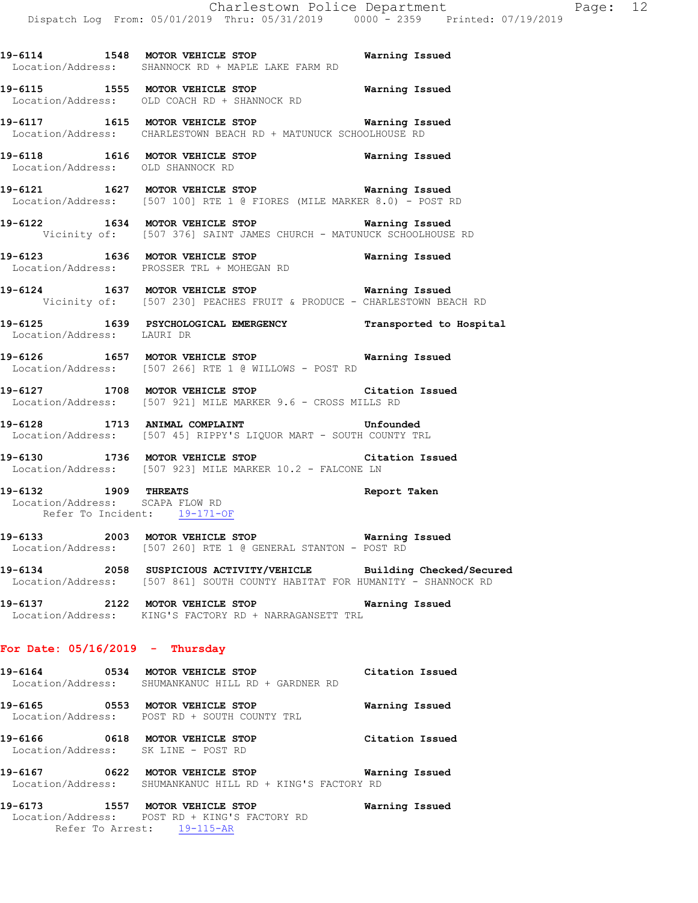**19-6114 1548 MOTOR VEHICLE STOP Warning Issued**  Location/Address: SHANNOCK RD + MAPLE LAKE FARM RD

**19-6115 1555 MOTOR VEHICLE STOP Warning Issued**  Location/Address: OLD COACH RD + SHANNOCK RD

**19-6117 1615 MOTOR VEHICLE STOP Warning Issued**  Location/Address: CHARLESTOWN BEACH RD + MATUNUCK SCHOOLHOUSE RD

**19-6118 1616 MOTOR VEHICLE STOP Warning Issued**  Location/Address: OLD SHANNOCK RD

**19-6121 1627 MOTOR VEHICLE STOP Warning Issued**  Location/Address: [507 100] RTE 1 @ FIORES (MILE MARKER 8.0) - POST RD

**19-6122 1634 MOTOR VEHICLE STOP Warning Issued**  Vicinity of: [507 376] SAINT JAMES CHURCH - MATUNUCK SCHOOLHOUSE RD

**19-6123 1636 MOTOR VEHICLE STOP Warning Issued**  Location/Address: PROSSER TRL + MOHEGAN RD

**19-6124 1637 MOTOR VEHICLE STOP Warning Issued**  Vicinity of: [507 230] PEACHES FRUIT & PRODUCE - CHARLESTOWN BEACH RD

**19-6125 1639 PSYCHOLOGICAL EMERGENCY Transported to Hospital**  Location/Address: LAURI DR

**19-6126 1657 MOTOR VEHICLE STOP Warning Issued**  Location/Address: [507 266] RTE 1 @ WILLOWS - POST RD

**19-6127 1708 MOTOR VEHICLE STOP Citation Issued**  Location/Address: [507 921] MILE MARKER 9.6 - CROSS MILLS RD

**19-6128 1713 ANIMAL COMPLAINT Unfounded**  Location/Address: [507 45] RIPPY'S LIQUOR MART - SOUTH COUNTY TRL

**19-6130 1736 MOTOR VEHICLE STOP Citation Issued**  Location/Address: [507 923] MILE MARKER 10.2 - FALCONE LN

**19-6132 1909 THREATS Report Taken**  Location/Address: SCAPA FLOW RD Refer To Incident: 19-171-OF

**19-6133 2003 MOTOR VEHICLE STOP Warning Issued**  Location/Address: [507 260] RTE 1 @ GENERAL STANTON - POST RD

**19-6134 2058 SUSPICIOUS ACTIVITY/VEHICLE Building Checked/Secured**  Location/Address: [507 861] SOUTH COUNTY HABITAT FOR HUMANITY - SHANNOCK RD

**19-6137 2122 MOTOR VEHICLE STOP Warning Issued**  Location/Address: KING'S FACTORY RD + NARRAGANSETT TRL

#### **For Date: 05/16/2019 - Thursday**

**19-6164 0534 MOTOR VEHICLE STOP Citation Issued**  Location/Address: SHUMANKANUC HILL RD + GARDNER RD

**19-6165 0553 MOTOR VEHICLE STOP Warning Issued**  Location/Address: POST RD + SOUTH COUNTY TRL

**19-6166 0618 MOTOR VEHICLE STOP Citation Issued**  Location/Address: SK LINE - POST RD

**19-6167 0622 MOTOR VEHICLE STOP Warning Issued**  Location/Address: SHUMANKANUC HILL RD + KING'S FACTORY RD

**19-6173 1557 MOTOR VEHICLE STOP Warning Issued**  Location/Address: POST RD + KING'S FACTORY RD Refer To Arrest: 19-115-AR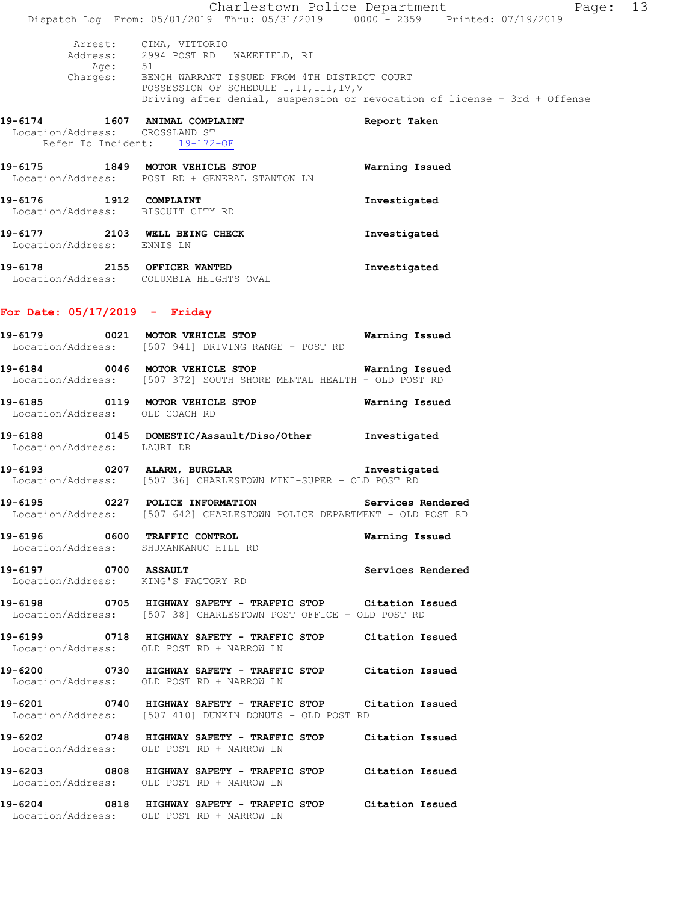|                                                                |                                                                                                                                           | Charlestown Police Department<br>Page: 13                                 |  |
|----------------------------------------------------------------|-------------------------------------------------------------------------------------------------------------------------------------------|---------------------------------------------------------------------------|--|
|                                                                | Dispatch Log From: 05/01/2019 Thru: 05/31/2019 0000 - 2359 Printed: 07/19/2019                                                            |                                                                           |  |
|                                                                | Arrest: CIMA, VITTORIO<br>Address: 2994 POST RD WAKEFIELD, RI<br>Age: 51                                                                  |                                                                           |  |
|                                                                | Charges: BENCH WARRANT ISSUED FROM 4TH DISTRICT COURT<br>POSSESSION OF SCHEDULE I II III IV V<br>POSSESSION OF SCHEDULE I, II, III, IV, V | Driving after denial, suspension or revocation of license - 3rd + Offense |  |
| Location/Address: CROSSLAND ST<br>Refer To Incident: 19-172-OF | 19-6174 1607 ANIMAL COMPLAINT                                                                                                             | Report Taken                                                              |  |
|                                                                | 19-6175 1849 MOTOR VEHICLE STOP<br>Location/Address: POST RD + GENERAL STANTON LN                                                         | Warning Issued                                                            |  |
| 19-6176 1912 COMPLAINT<br>Location/Address: BISCUIT CITY RD    |                                                                                                                                           | Investigated                                                              |  |
| Location/Address: ENNIS LN                                     | 19-6177 2103 WELL BEING CHECK                                                                                                             | Investigated                                                              |  |
|                                                                | 19-6178 2155 OFFICER WANTED<br>Location/Address: COLUMBIA HEIGHTS OVAL                                                                    | Investigated                                                              |  |
| For Date: $05/17/2019$ - Friday                                |                                                                                                                                           |                                                                           |  |
|                                                                | Location/Address: [507 941] DRIVING RANGE - POST RD                                                                                       |                                                                           |  |
|                                                                | 19-6184 			 0046 MOTOR VEHICLE STOP 							 Warning Issued<br>Location/Address: [507 372] SOUTH SHORE MENTAL HEALTH - OLD POST RD         |                                                                           |  |
| Location/Address: OLD COACH RD                                 | 19-6185 0119 MOTOR VEHICLE STOP 6185 Warning Issued                                                                                       |                                                                           |  |
| Location/Address: LAURI DR                                     | 19-6188  0145 DOMESTIC/Assault/Diso/Other Investigated                                                                                    |                                                                           |  |
|                                                                | 19-6193 0207 ALARM, BURGLAR 19-6193 Investigated<br>Location/Address: [507 36] CHARLESTOWN MINI-SUPER - OLD POST RD                       |                                                                           |  |
| 19-6195                                                        | 0227 POLICE INFORMATION<br>Location/Address: [507 642] CHARLESTOWN POLICE DEPARTMENT - OLD POST RD                                        | Services Rendered                                                         |  |
|                                                                | 19-6196 0600 TRAFFIC CONTROL<br>Location/Address: SHUMANKANUC HILL RD                                                                     | Warning Issued                                                            |  |
| 19-6197 0700 ASSAULT                                           | Location/Address: KING'S FACTORY RD                                                                                                       | Services Rendered                                                         |  |
|                                                                | 19-6198 		 0705 HIGHWAY SAFETY - TRAFFIC STOP Citation Issued<br>Location/Address: [507 38] CHARLESTOWN POST OFFICE - OLD POST RD         |                                                                           |  |
|                                                                | 19-6199 		 0718 HIGHWAY SAFETY - TRAFFIC STOP Citation Issued<br>Location/Address: OLD POST RD + NARROW LN                                |                                                                           |  |
|                                                                | 19-6200 0730 HIGHWAY SAFETY - TRAFFIC STOP Citation Issued<br>Location/Address: OLD POST RD + NARROW LN                                   |                                                                           |  |
|                                                                | 19-6201 0740 HIGHWAY SAFETY - TRAFFIC STOP Citation Issued<br>Location/Address: [507 410] DUNKIN DONUTS - OLD POST RD                     |                                                                           |  |
|                                                                | 19-6202 0748 HIGHWAY SAFETY - TRAFFIC STOP Citation Issued<br>Location/Address: OLD POST RD + NARROW LN                                   |                                                                           |  |
|                                                                | 19-6203 0808 HIGHWAY SAFETY - TRAFFIC STOP Citation Issued<br>Location/Address: OLD POST RD + NARROW LN                                   |                                                                           |  |
|                                                                | 19-6204 0818 HIGHWAY SAFETY - TRAFFIC STOP Citation Issued<br>Location/Address: OLD POST RD + NARROW LN                                   |                                                                           |  |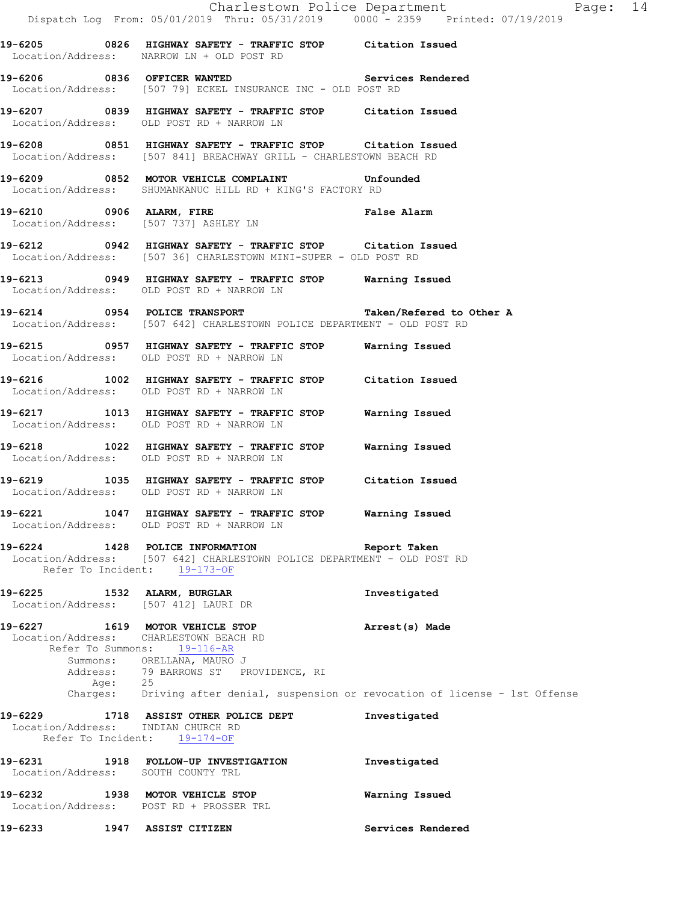|                                    | Dispatch Log From: 05/01/2019 Thru: 05/31/2019 0000 <sup>-</sup> 2359 Printed: 07/19/2019                                                                                       | Charlestown Police Department Page: 14                                                                        |  |
|------------------------------------|---------------------------------------------------------------------------------------------------------------------------------------------------------------------------------|---------------------------------------------------------------------------------------------------------------|--|
|                                    | 19-6205 		 0826 HIGHWAY SAFETY - TRAFFIC STOP Citation Issued<br>Location/Address: NARROW LN + OLD POST RD                                                                      |                                                                                                               |  |
|                                    | 19-6206 6836 OFFICER WANTED Services Rendered<br>Location/Address: [507 79] ECKEL INSURANCE INC - OLD POST RD                                                                   |                                                                                                               |  |
|                                    | 19-6207 0839 HIGHWAY SAFETY - TRAFFIC STOP Citation Issued<br>Location/Address: OLD POST RD + NARROW LN                                                                         |                                                                                                               |  |
|                                    | 19-6208 0851 HIGHWAY SAFETY - TRAFFIC STOP Citation Issued<br>Location/Address: [507 841] BREACHWAY GRILL - CHARLESTOWN BEACH RD                                                |                                                                                                               |  |
|                                    | 19-6209 0852 MOTOR VEHICLE COMPLAINT Unfounded<br>Location/Address: SHUMANKANUC HILL RD + KING'S FACTORY RD                                                                     |                                                                                                               |  |
|                                    | 19-6210 0906 ALARM, FIRE <b>1998 120 False Alarm</b><br>Location/Address: [507 737] ASHLEY LN                                                                                   |                                                                                                               |  |
|                                    | 19-6212 0942 HIGHWAY SAFETY - TRAFFIC STOP Citation Issued<br>Location/Address: [507 36] CHARLESTOWN MINI-SUPER - OLD POST RD                                                   |                                                                                                               |  |
|                                    | 19-6213 		 0949 HIGHWAY SAFETY - TRAFFIC STOP Warning Issued<br>Location/Address: OLD POST RD + NARROW LN                                                                       |                                                                                                               |  |
|                                    | 19-6214 0954 POLICE TRANSPORT TRANSPORT Taken/Refered to Other A<br>Location/Address: [507 642] CHARLESTOWN POLICE DEPARTMENT - OLD POST RD                                     |                                                                                                               |  |
|                                    | 19-6215 0957 HIGHWAY SAFETY - TRAFFIC STOP Warning Issued<br>Location/Address: OLD POST RD + NARROW LN                                                                          |                                                                                                               |  |
|                                    | 19-6216 1002 HIGHWAY SAFETY - TRAFFIC STOP Citation Issued<br>Location/Address: OLD POST RD + NARROW LN                                                                         |                                                                                                               |  |
|                                    | 19-6217 1013 HIGHWAY SAFETY - TRAFFIC STOP Warning Issued<br>Location/Address: OLD POST RD + NARROW LN                                                                          |                                                                                                               |  |
|                                    | 19-6218 1022 HIGHWAY SAFETY - TRAFFIC STOP Warning Issued<br>Location/Address: OLD POST RD + NARROW LN                                                                          |                                                                                                               |  |
|                                    | 19-6219 1035 HIGHWAY SAFETY - TRAFFIC STOP Citation Issued<br>Location/Address: OLD POST RD + NARROW LN                                                                         |                                                                                                               |  |
|                                    | 19-6221 1047 HIGHWAY SAFETY - TRAFFIC STOP Warning Issued<br>Location/Address: OLD POST RD + NARROW LN                                                                          |                                                                                                               |  |
| Refer To Incident: 19-173-OF       | 19-6224 1428 POLICE INFORMATION Report Taken<br>Location/Address: [507 642] CHARLESTOWN POLICE DEPARTMENT - OLD POST RD                                                         |                                                                                                               |  |
| 19-6225 1532 ALARM, BURGLAR        | Location/Address: [507 412] LAURI DR                                                                                                                                            | Investigated                                                                                                  |  |
|                                    | 19-6227 1619 MOTOR VEHICLE STOP<br>Location/Address: CHARLESTOWN BEACH RD<br>Refer To Summons: 19-116-AR<br>Summons: ORELLANA, MAURO J<br>Address: 79 BARROWS ST PROVIDENCE, RI | Arrest(s) Made<br>Age: 25<br>Charges: Driving after denial, suspension or revocation of license - 1st Offense |  |
| Location/Address: INDIAN CHURCH RD | 19-6229 1718 ASSIST OTHER POLICE DEPT<br>Refer To Incident: 19-174-OF                                                                                                           | Investigated                                                                                                  |  |
| Location/Address: SOUTH COUNTY TRL | 19-6231 1918 FOLLOW-UP INVESTIGATION                                                                                                                                            | Investigated                                                                                                  |  |
|                                    | 19-6232 1938 MOTOR VEHICLE STOP<br>Location/Address: POST RD + PROSSER TRL                                                                                                      | Warning Issued                                                                                                |  |
| 19-6233 2001                       | 1947 ASSIST CITIZEN                                                                                                                                                             | Services Rendered                                                                                             |  |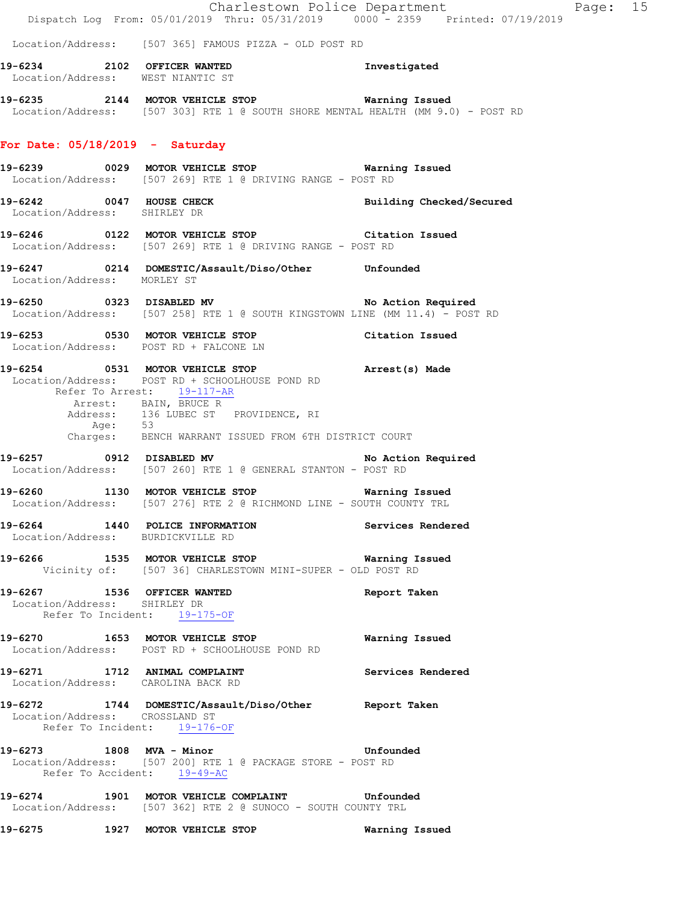|                                   | Dispatch Log From: 05/01/2019 Thru: 05/31/2019 0000 <sup>-</sup> 2359 Printed: 07/19/2019                                                                                                        | Charlestown Police Department | Page: 15 |  |
|-----------------------------------|--------------------------------------------------------------------------------------------------------------------------------------------------------------------------------------------------|-------------------------------|----------|--|
|                                   | Location/Address: [507 365] FAMOUS PIZZA - OLD POST RD                                                                                                                                           |                               |          |  |
|                                   |                                                                                                                                                                                                  |                               |          |  |
|                                   | 19-6234 2102 OFFICER WANTED 10-6234<br>Location/Address: WEST NIANTIC ST                                                                                                                         |                               |          |  |
|                                   | 19-6235 2144 MOTOR VEHICLE STOP <b>Warning Issued</b><br>Location/Address: [507 303] RTE 1 @ SOUTH SHORE MENTAL HEALTH (MM 9.0) - POST RD                                                        |                               |          |  |
| For Date: $05/18/2019$ - Saturday |                                                                                                                                                                                                  |                               |          |  |
|                                   | Location/Address: [507 269] RTE 1 @ DRIVING RANGE - POST RD                                                                                                                                      |                               |          |  |
| Location/Address: SHIRLEY DR      | 19-6242 0047 HOUSE CHECK Building Checked/Secured                                                                                                                                                |                               |          |  |
|                                   | 19-6246 0122 MOTOR VEHICLE STOP Citation Issued<br>Location/Address: [507 269] RTE 1 @ DRIVING RANGE - POST RD                                                                                   |                               |          |  |
| Location/Address: MORLEY ST       | 19-6247 0214 DOMESTIC/Assault/Diso/Other Unfounded                                                                                                                                               |                               |          |  |
|                                   | 19-6250 0323 DISABLED MV No Action Required<br>Location/Address: [507 258] RTE 1 @ SOUTH KINGSTOWN LINE (MM 11.4) - POST RD                                                                      |                               |          |  |
|                                   | 19-6253 0530 MOTOR VEHICLE STOP Citation Issued<br>Location/Address: POST RD + FALCONE LN                                                                                                        |                               |          |  |
|                                   | 19-6254 0531 MOTOR VEHICLE STOP Arrest(s) Made<br>Location/Address: POST RD + SCHOOLHOUSE POND RD<br>Refer To Arrest: 19-117-AR<br>Arrest: BAIN, BRUCE R<br>Address: 136 LUBEC ST PROVIDENCE, RI |                               |          |  |
|                                   | Age: 53<br>Charges: BENCH WARRANT ISSUED FROM 6TH DISTRICT COURT                                                                                                                                 |                               |          |  |
|                                   | 19-6257 0912 DISABLED MV No Action Required<br>Location/Address: [507 260] RTE 1 @ GENERAL STANTON - POST RD                                                                                     |                               |          |  |
|                                   | 19-6260 1130 MOTOR VEHICLE STOP 6260 Warning Issued<br>Location/Address: [507 276] RTE 2 @ RICHMOND LINE - SOUTH COUNTY TRL                                                                      |                               |          |  |
|                                   | 19-6264 1440 POLICE INFORMATION Services Rendered<br>Location/Address: BURDICKVILLE RD                                                                                                           |                               |          |  |
|                                   | 19-6266 1535 MOTOR VEHICLE STOP <b>Warning Issued</b><br>Vicinity of: [507 36] CHARLESTOWN MINI-SUPER - OLD POST RD                                                                              |                               |          |  |
| Location/Address: SHIRLEY DR      | 19-6267 1536 OFFICER WANTED<br>Refer To Incident: 19-175-OF                                                                                                                                      | Report Taken                  |          |  |
|                                   | 19-6270 1653 MOTOR VEHICLE STOP<br>Location/Address: POST RD + SCHOOLHOUSE POND RD                                                                                                               | Warning Issued                |          |  |
|                                   | 19-6271 1712 ANIMAL COMPLAINT<br>Location/Address: CAROLINA BACK RD                                                                                                                              | Services Rendered             |          |  |
| Location/Address: CROSSLAND ST    | 19-6272 1744 DOMESTIC/Assault/Diso/Other Report Taken<br>Refer To Incident: 19-176-OF                                                                                                            |                               |          |  |
|                                   | 19-6273 1808 MVA - Minor Changes and Mufounded<br>Location/Address: [507 200] RTE 1 @ PACKAGE STORE - POST RD<br>Refer To Accident: 19-49-AC                                                     |                               |          |  |
|                                   | 19-6274 1901 MOTOR VEHICLE COMPLAINT Unfounded<br>Location/Address: [507 362] RTE 2 @ SUNOCO - SOUTH COUNTY TRL                                                                                  |                               |          |  |
| 19-6275                           | 1927 MOTOR VEHICLE STOP                                                                                                                                                                          | Warning Issued                |          |  |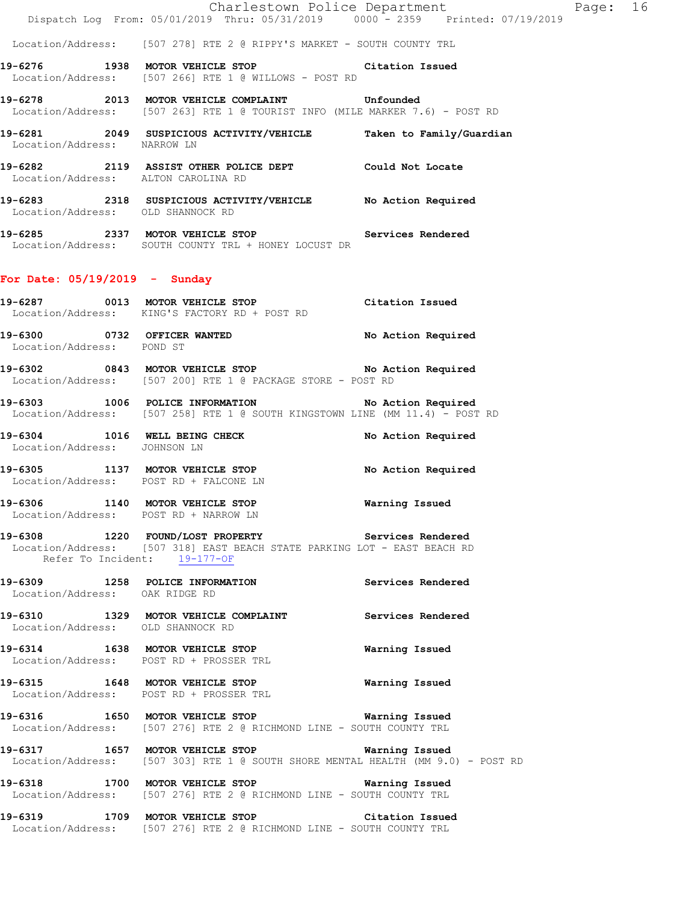|                                                                                                          | Charlestown Police Department                                                  |                          |  |
|----------------------------------------------------------------------------------------------------------|--------------------------------------------------------------------------------|--------------------------|--|
|                                                                                                          | Dispatch Log From: 05/01/2019 Thru: 05/31/2019 0000 - 2359 Printed: 07/19/2019 |                          |  |
| Location/Address: [507 278] RTE 2 @ RIPPY'S MARKET - SOUTH COUNTY TRL                                    |                                                                                |                          |  |
| 19-6276 1938 MOTOR VEHICLE STOP Citation Issued<br>Location/Address: [507 266] RTE 1 @ WILLOWS - POST RD |                                                                                |                          |  |
| Location/Address: [507 263] RTE 1 @ TOURIST INFO (MILE MARKER 7.6) - POST RD                             |                                                                                |                          |  |
| 19-6281  2049 SUSPICIOUS ACTIVITY/VEHICLE<br>Location/Address: NARROW LN                                 |                                                                                | Taken to Family/Guardian |  |
| 19-6282 2119 ASSIST OTHER POLICE DEPT<br>Location/Address: ALTON CAROLINA RD                             |                                                                                | Could Not Locate         |  |
| 19-6283 2318 SUSPICIOUS ACTIVITY/VEHICLE<br>Location/Address: OLD SHANNOCK RD                            |                                                                                | No Action Required       |  |

Page: 16

**19-6285 2337 MOTOR VEHICLE STOP Services Rendered**  Location/Address: SOUTH COUNTY TRL + HONEY LOCUST DR

#### **For Date: 05/19/2019 - Sunday**

| 19-6287           | 0013 | MOTOR VEHICLE STOP          | Citation Issued    |
|-------------------|------|-----------------------------|--------------------|
| Location/Address: |      | KING'S FACTORY RD + POST RD |                    |
| 19-6300           |      | 0732 OFFICER WANTED         | No Action Required |

 Location/Address: POND ST **19-6302 0843 MOTOR VEHICLE STOP No Action Required** 

Location/Address: [507 200] RTE 1 @ PACKAGE STORE - POST RD

**19-6303 1006 POLICE INFORMATION No Action Required**  Location/Address: [507 258] RTE 1 @ SOUTH KINGSTOWN LINE (MM 11.4) - POST RD

19-6304 1016 WELL BEING CHECK No Action Required Location/Address: JOHNSON LN

**19-6305 1137 MOTOR VEHICLE STOP No Action Required**  Location/Address: POST RD + FALCONE LN

**19-6306 1140 MOTOR VEHICLE STOP Warning Issued**  Location/Address: POST RD + NARROW LN

## **19-6308 1220 FOUND/LOST PROPERTY Services Rendered**  Location/Address: [507 318] EAST BEACH STATE PARKING LOT - EAST BEACH RD Refer To Incident: 19-177-OF

**19-6309 1258 POLICE INFORMATION Services Rendered**  Location/Address: OAK RIDGE RD

**19-6310 1329 MOTOR VEHICLE COMPLAINT Services Rendered**  Location/Address: OLD SHANNOCK RD

**19-6314 1638 MOTOR VEHICLE STOP Warning Issued**  Location/Address: POST RD + PROSSER TRL

**19-6315 1648 MOTOR VEHICLE STOP Warning Issued**  Location/Address: POST RD + PROSSER TRL

**19-6316 1650 MOTOR VEHICLE STOP Warning Issued**  Location/Address: [507 276] RTE 2 @ RICHMOND LINE - SOUTH COUNTY TRL

**19-6317 1657 MOTOR VEHICLE STOP Warning Issued**  Location/Address: [507 303] RTE 1 @ SOUTH SHORE MENTAL HEALTH (MM 9.0) - POST RD

**19-6318 1700 MOTOR VEHICLE STOP Warning Issued**  Location/Address: [507 276] RTE 2 @ RICHMOND LINE - SOUTH COUNTY TRL

**19-6319 1709 MOTOR VEHICLE STOP Citation Issued**  Location/Address: [507 276] RTE 2 @ RICHMOND LINE - SOUTH COUNTY TRL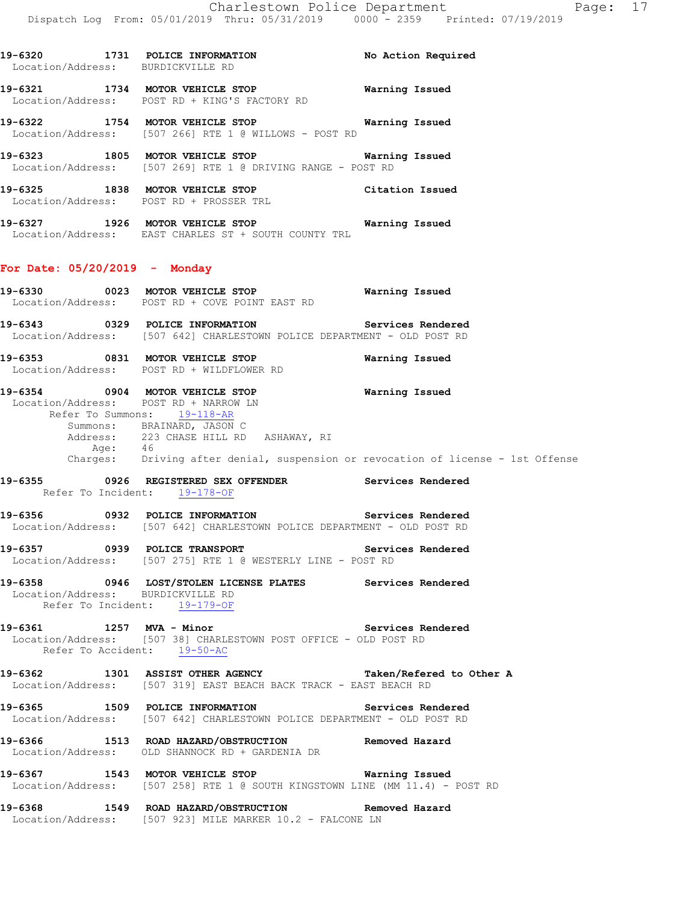**19-6320 1731 POLICE INFORMATION No Action Required**  Location/Address: BURDICKVILLE RD **19-6321 1734 MOTOR VEHICLE STOP Warning Issued**  Location/Address: POST RD + KING'S FACTORY RD **19-6322 1754 MOTOR VEHICLE STOP Warning Issued**  Location/Address: [507 266] RTE 1 @ WILLOWS - POST RD **19-6323 1805 MOTOR VEHICLE STOP Warning Issued**  Location/Address: [507 269] RTE 1 @ DRIVING RANGE - POST RD **19-6325 1838 MOTOR VEHICLE STOP Citation Issued**  Location/Address: POST RD + PROSSER TRL **19-6327 1926 MOTOR VEHICLE STOP Warning Issued**  Location/Address: EAST CHARLES ST + SOUTH COUNTY TRL **For Date: 05/20/2019 - Monday 19-6330 0023 MOTOR VEHICLE STOP Warning Issued**  Location/Address: POST RD + COVE POINT EAST RD **19-6343 0329 POLICE INFORMATION Services Rendered**  Location/Address: [507 642] CHARLESTOWN POLICE DEPARTMENT - OLD POST RD **19-6353 0831 MOTOR VEHICLE STOP Warning Issued**  Location/Address: POST RD + WILDFLOWER RD **19-6354 0904 MOTOR VEHICLE STOP Warning Issued**  Location/Address: POST RD + NARROW LN Refer To Summons: 19-118-AR Summons: BRAINARD, JASON C Address: 223 CHASE HILL RD ASHAWAY, RI Age: 46 Charges: Driving after denial, suspension or revocation of license - 1st Offense **19-6355 0926 REGISTERED SEX OFFENDER Services Rendered**  Refer To Incident: 19-178-OF **19-6356 0932 POLICE INFORMATION Services Rendered**  Location/Address: [507 642] CHARLESTOWN POLICE DEPARTMENT - OLD POST RD **19-6357 0939 POLICE TRANSPORT Services Rendered**  Location/Address: [507 275] RTE 1 @ WESTERLY LINE - POST RD **19-6358 0946 LOST/STOLEN LICENSE PLATES Services Rendered**  Location/Address: BURDICKVILLE RD Refer To Incident: 19-179-OF **19-6361 1257 MVA - Minor Services Rendered**  Location/Address: [507 38] CHARLESTOWN POST OFFICE - OLD POST RD Refer To Accident: 19-50-AC **19-6362 1301 ASSIST OTHER AGENCY Taken/Refered to Other A**  Location/Address: [507 319] EAST BEACH BACK TRACK - EAST BEACH RD **19-6365 1509 POLICE INFORMATION Services Rendered**  Location/Address: [507 642] CHARLESTOWN POLICE DEPARTMENT - OLD POST RD **19-6366 1513 ROAD HAZARD/OBSTRUCTION Removed Hazard**  Location/Address: OLD SHANNOCK RD + GARDENIA DR **19-6367 1543 MOTOR VEHICLE STOP Warning Issued**  Location/Address: [507 258] RTE 1 @ SOUTH KINGSTOWN LINE (MM 11.4) - POST RD **19-6368 1549 ROAD HAZARD/OBSTRUCTION Removed Hazard**  Location/Address: [507 923] MILE MARKER 10.2 - FALCONE LN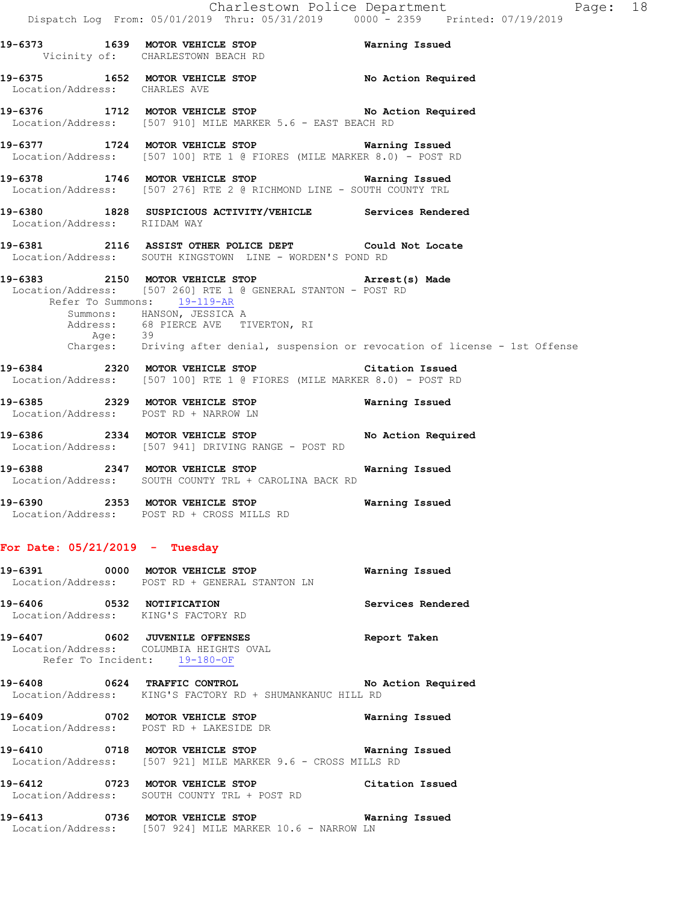**19-6373 1639 MOTOR VEHICLE STOP Warning Issued**  Vicinity of: CHARLESTOWN BEACH RD **19-6375 1652 MOTOR VEHICLE STOP No Action Required**  Location/Address: CHARLES AVE **19-6376 1712 MOTOR VEHICLE STOP No Action Required**  Location/Address: [507 910] MILE MARKER 5.6 - EAST BEACH RD **19-6377 1724 MOTOR VEHICLE STOP Warning Issued**  Location/Address: [507 100] RTE 1 @ FIORES (MILE MARKER 8.0) - POST RD **19-6378 1746 MOTOR VEHICLE STOP Warning Issued**  Location/Address: [507 276] RTE 2 @ RICHMOND LINE - SOUTH COUNTY TRL **19-6380 1828 SUSPICIOUS ACTIVITY/VEHICLE Services Rendered**  Location/Address: RIIDAM WAY **19-6381 2116 ASSIST OTHER POLICE DEPT Could Not Locate**  Location/Address: SOUTH KINGSTOWN LINE - WORDEN'S POND RD **19-6383 2150 MOTOR VEHICLE STOP Arrest(s) Made**  Location/Address: [507 260] RTE 1 @ GENERAL STANTON - POST RD Refer To Summons: 19-119-AR Summons: HANSON, JESSICA A Address: 68 PIERCE AVE TIVERTON, RI Age: 39 Charges: Driving after denial, suspension or revocation of license - 1st Offense **19-6384 2320 MOTOR VEHICLE STOP Citation Issued**  Location/Address: [507 100] RTE 1 @ FIORES (MILE MARKER 8.0) - POST RD **19-6385 2329 MOTOR VEHICLE STOP Warning Issued**  Location/Address: POST RD + NARROW LN **19-6386 2334 MOTOR VEHICLE STOP No Action Required**  Location/Address: [507 941] DRIVING RANGE - POST RD

**19-6388 2347 MOTOR VEHICLE STOP Warning Issued**  Location/Address: SOUTH COUNTY TRL + CAROLINA BACK RD

**19-6390 2353 MOTOR VEHICLE STOP Warning Issued**  Location/Address: POST RD + CROSS MILLS RD

## **For Date: 05/21/2019 - Tuesday**

|                              | 19-6391 0000 MOTOR VEHICLE STOP<br>Location/Address: POST RD + GENERAL STANTON LN                         | Warning Issued     |
|------------------------------|-----------------------------------------------------------------------------------------------------------|--------------------|
| 19-6406 0532 NOTIFICATION    | Location/Address: KING'S FACTORY RD                                                                       | Services Rendered  |
|                              | 19-6407 0602 JUVENILE OFFENSES<br>Location/Address: COLUMBIA HEIGHTS OVAL<br>Refer To Incident: 19-180-OF | Report Taken       |
| 19-6408 0624 TRAFFIC CONTROL | Location/Address: KING'S FACTORY RD + SHUMANKANUC HILL RD                                                 | No Action Required |
|                              | 19-6409 0702 MOTOR VEHICLE STOP<br>Location/Address: POST RD + LAKESIDE DR                                | Warning Issued     |
|                              | 19-6410 0718 MOTOR VEHICLE STOP<br>Location/Address: [507 921] MILE MARKER 9.6 - CROSS MILLS RD           | Warning Issued     |
|                              | 19-6412 0723 MOTOR VEHICLE STOP<br>Location/Address: SOUTH COUNTY TRL + POST RD                           | Citation Issued    |

**19-6413 0736 MOTOR VEHICLE STOP Warning Issued**  Location/Address: [507 924] MILE MARKER 10.6 - NARROW LN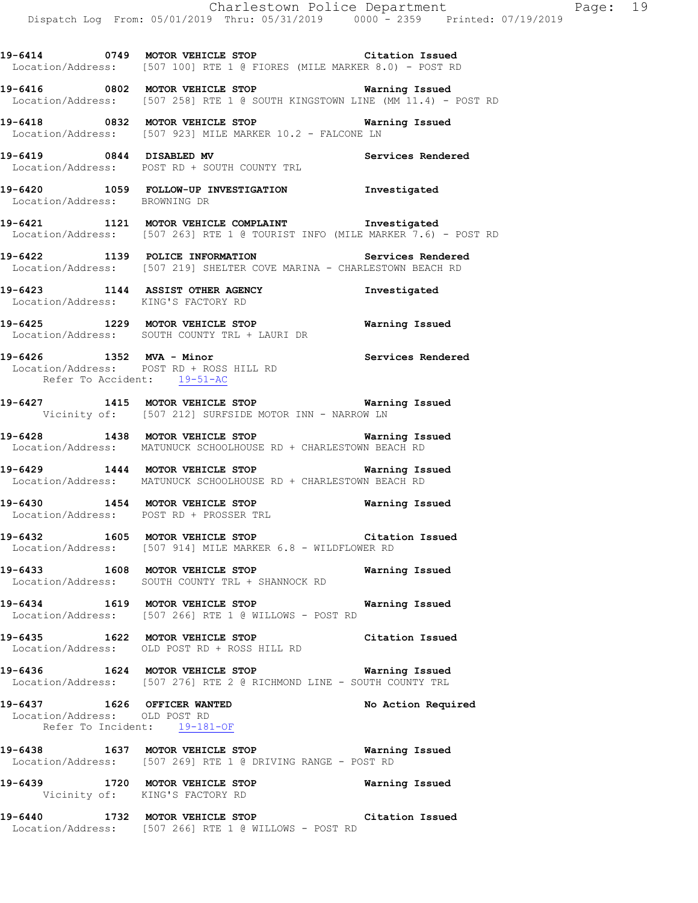**19-6414 0749 MOTOR VEHICLE STOP Citation Issued**  Location/Address: [507 100] RTE 1 @ FIORES (MILE MARKER 8.0) - POST RD

**19-6416 0802 MOTOR VEHICLE STOP Warning Issued**  Location/Address: [507 258] RTE 1 @ SOUTH KINGSTOWN LINE (MM 11.4) - POST RD

**19-6418 0832 MOTOR VEHICLE STOP Warning Issued**  Location/Address: [507 923] MILE MARKER 10.2 - FALCONE LN

**19-6419 0844 DISABLED MV Services Rendered**  Location/Address: POST RD + SOUTH COUNTY TRL

**19-6420 1059 FOLLOW-UP INVESTIGATION Investigated**  Location/Address: BROWNING DR

**19-6421 1121 MOTOR VEHICLE COMPLAINT Investigated**  Location/Address: [507 263] RTE 1 @ TOURIST INFO (MILE MARKER 7.6) - POST RD

**19-6422 1139 POLICE INFORMATION Services Rendered**  Location/Address: [507 219] SHELTER COVE MARINA - CHARLESTOWN BEACH RD

**19-6423 1144 ASSIST OTHER AGENCY Investigated**  Location/Address: KING'S FACTORY RD

**19-6425 1229 MOTOR VEHICLE STOP Warning Issued**  Location/Address: SOUTH COUNTY TRL + LAURI DR

**19-6426 1352 MVA - Minor Services Rendered**  Location/Address: POST RD + ROSS HILL RD Refer To Accident: 19-51-AC

**19-6427 1415 MOTOR VEHICLE STOP Warning Issued**  Vicinity of: [507 212] SURFSIDE MOTOR INN - NARROW LN

**19-6428 1438 MOTOR VEHICLE STOP Warning Issued**  Location/Address: MATUNUCK SCHOOLHOUSE RD + CHARLESTOWN BEACH RD

**19-6429 1444 MOTOR VEHICLE STOP Warning Issued**  Location/Address: MATUNUCK SCHOOLHOUSE RD + CHARLESTOWN BEACH RD

**19-6430 1454 MOTOR VEHICLE STOP Warning Issued**  Location/Address: POST RD + PROSSER TRL

**19-6432 1605 MOTOR VEHICLE STOP Citation Issued**  Location/Address: [507 914] MILE MARKER 6.8 - WILDFLOWER RD

**19-6433 1608 MOTOR VEHICLE STOP Warning Issued**  Location/Address: SOUTH COUNTY TRL + SHANNOCK RD

**19-6434 1619 MOTOR VEHICLE STOP Warning Issued**  Location/Address: [507 266] RTE 1 @ WILLOWS - POST RD

**19-6435 1622 MOTOR VEHICLE STOP Citation Issued**  Location/Address: OLD POST RD + ROSS HILL RD

**19-6436 1624 MOTOR VEHICLE STOP Warning Issued**  Location/Address: [507 276] RTE 2 @ RICHMOND LINE - SOUTH COUNTY TRL

19-6437 **1626 OFFICER WANTED** No Action Required Location/Address: OLD POST RD Refer To Incident: 19-181-OF

**19-6438 1637 MOTOR VEHICLE STOP Warning Issued**  Location/Address: [507 269] RTE 1 @ DRIVING RANGE - POST RD

**19-6439 1720 MOTOR VEHICLE STOP Warning Issued**  Vicinity of: KING'S FACTORY RD

**19-6440 1732 MOTOR VEHICLE STOP Citation Issued**  Location/Address: [507 266] RTE 1 @ WILLOWS - POST RD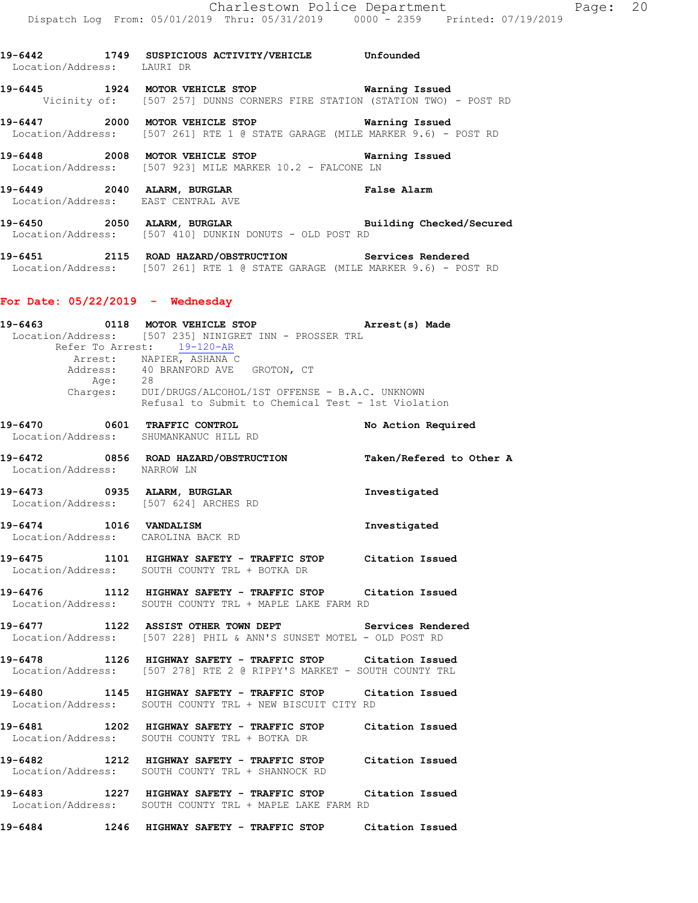| Location/Address: LAURI DR         | 19-6442 1749 SUSPICIOUS ACTIVITY/VEHICLE Unfounded                                                                                                                                                                            |                    |
|------------------------------------|-------------------------------------------------------------------------------------------------------------------------------------------------------------------------------------------------------------------------------|--------------------|
|                                    | 19-6445 1924 MOTOR VEHICLE STOP Warning Issued<br>Vicinity of: [507 257] DUNNS CORNERS FIRE STATION (STATION TWO) - POST RD                                                                                                   |                    |
|                                    | 19-6447 2000 MOTOR VEHICLE STOP <b>Warning Issued</b><br>Location/Address: [507 261] RTE 1 @ STATE GARAGE (MILE MARKER 9.6) - POST RD                                                                                         |                    |
|                                    | 19-6448 2008 MOTOR VEHICLE STOP <b>WARELL</b> STOP<br>Location/Address: [507 923] MILE MARKER 10.2 - FALCONE LN                                                                                                               |                    |
|                                    | 19-6449 2040 ALARM, BURGLAR NE SAND False Alarm<br>Location/Address: EAST CENTRAL AVE                                                                                                                                         |                    |
|                                    | 19-6450 2050 ALARM, BURGLAR <b>BURGLAR</b> Building Checked/Secured<br>Location/Address: [507 410] DUNKIN DONUTS - OLD POST RD                                                                                                |                    |
|                                    | 19-6451 2115 ROAD HAZARD/OBSTRUCTION Services Rendered<br>Location/Address: [507 261] RTE 1 @ STATE GARAGE (MILE MARKER 9.6) - POST RD                                                                                        |                    |
| For Date: $05/22/2019$ - Wednesday |                                                                                                                                                                                                                               |                    |
|                                    | Location/Address: [507 235] NINIGRET INN - PROSSER TRL<br>Refer To Arrest: 19-120-AR<br>Arrest: NAPIER, ASHANA C<br>Address: 40 BRANFORD AVE GROTON, CT<br>Age: 28<br>Charges: DUI/DRUGS/ALCOHOL/1ST OFFENSE - B.A.C. UNKNOWN |                    |
|                                    | Refusal to Submit to Chemical Test - 1st Violation                                                                                                                                                                            |                    |
|                                    | 19-6470 0601 TRAFFIC CONTROL<br>Location/Address: SHUMANKANUC HILL RD                                                                                                                                                         | No Action Required |
|                                    | 19-6472 0856 ROAD HAZARD/OBSTRUCTION Taken/Refered to Other A Location/Address: MARROW LN                                                                                                                                     |                    |
|                                    | 19-6473 0935 ALARM, BURGLAR<br>Location/Address: [507 624] ARCHES RD                                                                                                                                                          | Investigated       |
|                                    | 19-6474 1016 VANDALISM<br>Location/Address: CAROLINA BACK RD                                                                                                                                                                  | Investigated       |
|                                    | 19-6475 1101 HIGHWAY SAFETY - TRAFFIC STOP Citation Issued<br>Location/Address: SOUTH COUNTY TRL + BOTKA DR                                                                                                                   |                    |
|                                    | 19-6476 1112 HIGHWAY SAFETY - TRAFFIC STOP Citation Issued<br>Location/Address: SOUTH COUNTY TRL + MAPLE LAKE FARM RD                                                                                                         |                    |
|                                    | 19-6477 1122 ASSIST OTHER TOWN DEPT Services Rendered<br>Location/Address: [507 228] PHIL & ANN'S SUNSET MOTEL - OLD POST RD                                                                                                  |                    |
|                                    | 19-6478 1126 HIGHWAY SAFETY - TRAFFIC STOP Citation Issued<br>Location/Address: [507 278] RTE 2 @ RIPPY'S MARKET - SOUTH COUNTY TRL                                                                                           |                    |
|                                    | 19-6480 1145 HIGHWAY SAFETY - TRAFFIC STOP Citation Issued<br>Location/Address: SOUTH COUNTY TRL + NEW BISCUIT CITY RD                                                                                                        |                    |
|                                    | 19-6481 1202 HIGHWAY SAFETY - TRAFFIC STOP Citation Issued<br>Location/Address: SOUTH COUNTY TRL + BOTKA DR                                                                                                                   |                    |
|                                    | 19-6482 1212 HIGHWAY SAFETY - TRAFFIC STOP Citation Issued<br>Location/Address: SOUTH COUNTY TRL + SHANNOCK RD                                                                                                                |                    |
|                                    | 19-6483 1227 HIGHWAY SAFETY - TRAFFIC STOP Citation Issued<br>Location/Address: SOUTH COUNTY TRL + MAPLE LAKE FARM RD                                                                                                         |                    |
|                                    | 19-6484 1246 HIGHWAY SAFETY - TRAFFIC STOP Citation Issued                                                                                                                                                                    |                    |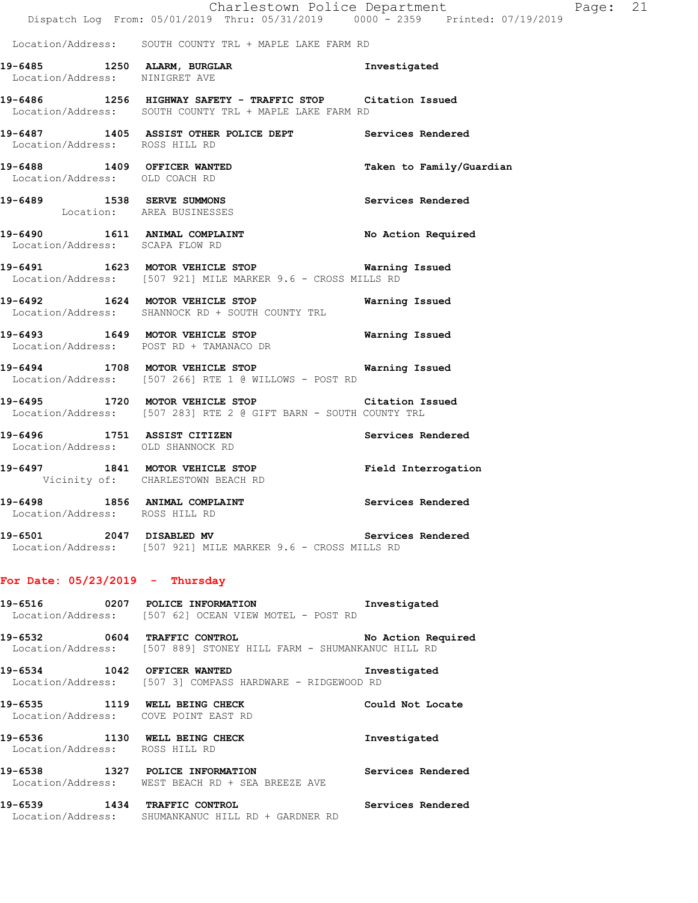|                                                         | Dispatch Log From: 05/01/2019 Thru: 05/31/2019 0000 <sup>-</sup> 2359 Printed: 07/19/2019                             | Charlestown Police Department | Page: 21 |  |
|---------------------------------------------------------|-----------------------------------------------------------------------------------------------------------------------|-------------------------------|----------|--|
|                                                         | Location/Address: SOUTH COUNTY TRL + MAPLE LAKE FARM RD                                                               |                               |          |  |
| Location/Address: NINIGRET AVE                          | 19-6485 1250 ALARM, BURGLAR 19-6485 Investigated                                                                      |                               |          |  |
|                                                         | 19-6486 1256 HIGHWAY SAFETY - TRAFFIC STOP Citation Issued<br>Location/Address: SOUTH COUNTY TRL + MAPLE LAKE FARM RD |                               |          |  |
| Location/Address: ROSS HILL RD                          | 19-6487 1405 ASSIST OTHER POLICE DEPT Services Rendered                                                               |                               |          |  |
| Location/Address: OLD COACH RD                          | 19-6488 1409 OFFICER WANTED                                                                                           | Taken to Family/Guardian      |          |  |
| 19-6489 1538 SERVE SUMMONS<br>Location: AREA BUSINESSES |                                                                                                                       | Services Rendered             |          |  |
| Location/Address: SCAPA FLOW RD                         | 19-6490 1611 ANIMAL COMPLAINT                                                                                         | No Action Required            |          |  |
|                                                         | 19-6491 1623 MOTOR VEHICLE STOP 6491 Warning Issued<br>Location/Address: [507 921] MILE MARKER 9.6 - CROSS MILLS RD   |                               |          |  |
|                                                         | 19-6492 1624 MOTOR VEHICLE STOP <b>Warning Issued</b><br>Location/Address: SHANNOCK RD + SOUTH COUNTY TRL             |                               |          |  |
|                                                         | 19-6493 1649 MOTOR VEHICLE STOP 19-6493 Warning Issued<br>Location/Address: POST RD + TAMANACO DR                     |                               |          |  |
|                                                         | 19-6494 1708 MOTOR VEHICLE STOP 6491 Warning Issued<br>Location/Address: [507 266] RTE 1 @ WILLOWS - POST RD          |                               |          |  |
|                                                         | 19-6495 1720 MOTOR VEHICLE STOP Citation Issued<br>Location/Address: [507 283] RTE 2 @ GIFT BARN - SOUTH COUNTY TRL   |                               |          |  |
| Location/Address: OLD SHANNOCK RD                       | 19-6496 1751 ASSIST CITIZEN                                                                                           | Services Rendered             |          |  |
|                                                         | 19-6497 1841 MOTOR VEHICLE STOP Field Interrogation<br>Vicinity of: CHARLESTOWN BEACH RD                              |                               |          |  |
| 19-6498<br>Location/Address: ROSS HILL RD               | 1856 ANIMAL COMPLAINT                                                                                                 | <b>Services Rendered</b>      |          |  |
|                                                         | 19-6501 2047 DISABLED MV<br>Location/Address: [507 921] MILE MARKER 9.6 - CROSS MILLS RD                              | Services Rendered             |          |  |
| For Date: $05/23/2019$ - Thursday                       |                                                                                                                       |                               |          |  |
|                                                         | 19-6516 0207 POLICE INFORMATION Investigated<br>Location/Address: [507 62] OCEAN VIEW MOTEL - POST RD                 |                               |          |  |
|                                                         | 19-6532 0604 TRAFFIC CONTROL No Action Required<br>Location/Address: [507 889] STONEY HILL FARM - SHUMANKANUC HILL RD |                               |          |  |
|                                                         | 19-6534 1042 OFFICER WANTED<br>Location/Address: [507 3] COMPASS HARDWARE - RIDGEWOOD RD                              | Investigated                  |          |  |
| Location/Address: COVE POINT EAST RD                    | 19-6535 1119 WELL BEING CHECK                                                                                         | Could Not Locate              |          |  |
| Location/Address: ROSS HILL RD                          | 19-6536 1130 WELL BEING CHECK                                                                                         | Investigated                  |          |  |
|                                                         | 19-6538 1327 POLICE INFORMATION<br>Location/Address: WEST BEACH RD + SEA BREEZE AVE                                   | Services Rendered             |          |  |
|                                                         | 19-6539 1434 TRAFFIC CONTROL<br>Location/Address: SHUMANKANUC HILL RD + GARDNER RD                                    | Services Rendered             |          |  |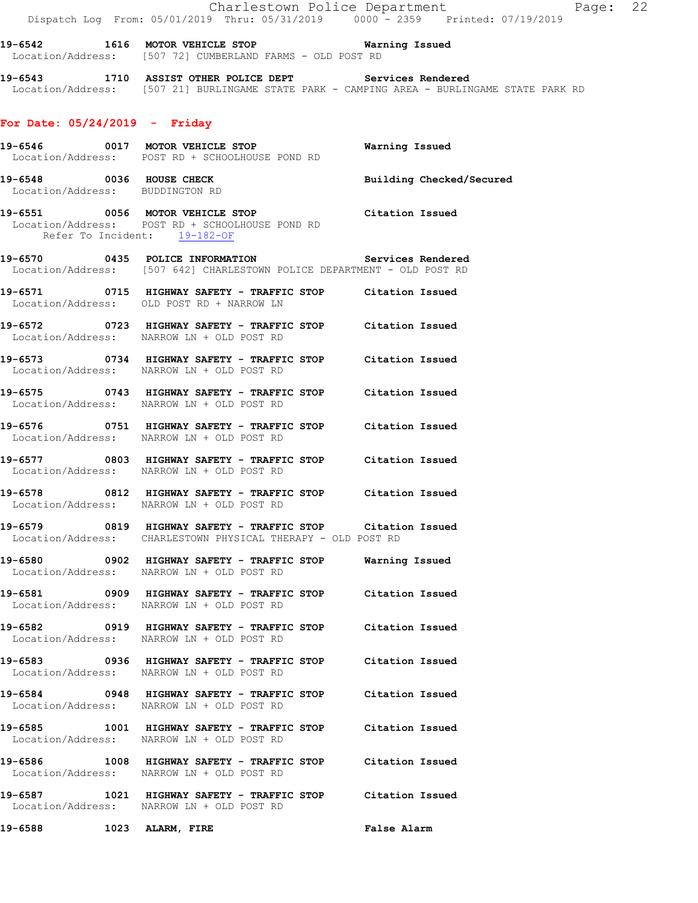Charlestown Police Department Page: 22 Dispatch Log From: 05/01/2019 Thru: 05/31/2019 0000 - 2359 Printed: 07/19/2019

**19-6542 1616 MOTOR VEHICLE STOP Warning Issued**  Location/Address: [507 72] CUMBERLAND FARMS - OLD POST RD

**19-6543 1710 ASSIST OTHER POLICE DEPT Services Rendered**  Location/Address: [507 21] BURLINGAME STATE PARK - CAMPING AREA - BURLINGAME STATE PARK RD

## **For Date: 05/24/2019 - Friday**

|                                                             | 19-6546 0017 MOTOR VEHICLE STOP Warning Issued<br>Location/Address: POST RD + SCHOOLHOUSE POND RD                                  |                          |
|-------------------------------------------------------------|------------------------------------------------------------------------------------------------------------------------------------|--------------------------|
| 19-6548 0036 HOUSE CHECK<br>Location/Address: BUDDINGTON RD |                                                                                                                                    | Building Checked/Secured |
|                                                             | 19-6551 0056 MOTOR VEHICLE STOP Citation Issued<br>Location/Address: POST RD + SCHOOLHOUSE POND RD<br>Refer To Incident: 19-182-OF |                          |
|                                                             | 19-6570 0435 POLICE INFORMATION Services Rendered<br>Location/Address: [507 642] CHARLESTOWN POLICE DEPARTMENT - OLD POST RD       |                          |
|                                                             | 19-6571 0715 HIGHWAY SAFETY - TRAFFIC STOP Citation Issued<br>Location/Address: OLD POST RD + NARROW LN                            |                          |
|                                                             | 19-6572 0723 HIGHWAY SAFETY - TRAFFIC STOP Citation Issued<br>Location/Address: NARROW LN + OLD POST RD                            |                          |
|                                                             | 19-6573 0734 HIGHWAY SAFETY - TRAFFIC STOP Citation Issued<br>Location/Address: NARROW LN + OLD POST RD                            |                          |
|                                                             | 19-6575 0743 HIGHWAY SAFETY - TRAFFIC STOP Citation Issued<br>Location/Address: NARROW LN + OLD POST RD                            |                          |
|                                                             | 19-6576 0751 HIGHWAY SAFETY - TRAFFIC STOP Citation Issued<br>Location/Address: NARROW LN + OLD POST RD                            |                          |
|                                                             | 19-6577 0803 HIGHWAY SAFETY - TRAFFIC STOP Citation Issued<br>Location/Address: NARROW LN + OLD POST RD                            |                          |
|                                                             | 19-6578 0812 HIGHWAY SAFETY - TRAFFIC STOP Citation Issued<br>Location/Address: NARROW LN + OLD POST RD                            |                          |
|                                                             | 19-6579 0819 HIGHWAY SAFETY - TRAFFIC STOP Citation Issued<br>Location/Address: CHARLESTOWN PHYSICAL THERAPY - OLD POST RD         |                          |
|                                                             | 19-6580 0902 HIGHWAY SAFETY - TRAFFIC STOP Warning Issued<br>Location/Address: NARROW LN + OLD POST RD                             |                          |
|                                                             | 19-6581 0909 HIGHWAY SAFETY - TRAFFIC STOP Citation Issued<br>Location/Address: NARROW LN + OLD POST RD                            |                          |
|                                                             | 19-6582 0919 HIGHWAY SAFETY - TRAFFIC STOP Citation Issued<br>Location/Address: NARROW LN + OLD POST RD                            |                          |
|                                                             | 19-6583 0936 HIGHWAY SAFETY - TRAFFIC STOP Citation Issued<br>Location/Address: NARROW LN + OLD POST RD                            |                          |
|                                                             | 19-6584 0948 HIGHWAY SAFETY - TRAFFIC STOP Citation Issued<br>Location/Address: NARROW LN + OLD POST RD                            |                          |
|                                                             | 19-6585 1001 HIGHWAY SAFETY - TRAFFIC STOP Citation Issued<br>Location/Address: NARROW LN + OLD POST RD                            |                          |
|                                                             | 19-6586 1008 HIGHWAY SAFETY - TRAFFIC STOP Citation Issued<br>Location/Address: NARROW LN + OLD POST RD                            |                          |
|                                                             | 19-6587 1021 HIGHWAY SAFETY - TRAFFIC STOP Citation Issued<br>Location/Address: NARROW LN + OLD POST RD                            |                          |

**19-6588 1023 ALARM, FIRE False Alarm**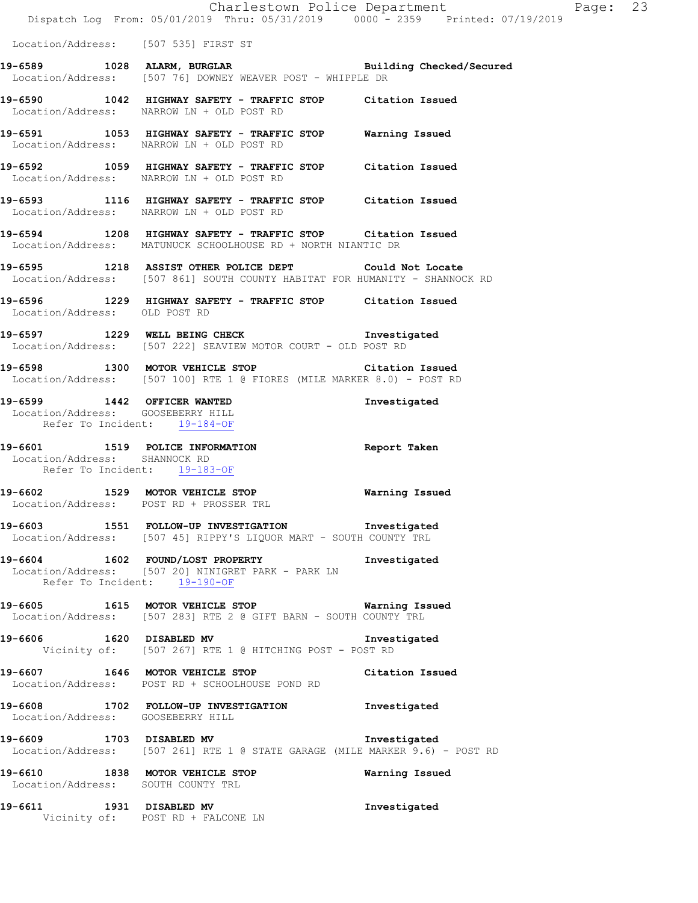Location/Address: [507 535] FIRST ST

- **19-6589 1028 ALARM, BURGLAR Building Checked/Secured**  Location/Address: [507 76] DOWNEY WEAVER POST - WHIPPLE DR
- **19-6590 1042 HIGHWAY SAFETY TRAFFIC STOP Citation Issued**  Location/Address: NARROW LN + OLD POST RD
- **19-6591 1053 HIGHWAY SAFETY TRAFFIC STOP Warning Issued**  Location/Address: NARROW LN + OLD POST RD
- **19-6592 1059 HIGHWAY SAFETY TRAFFIC STOP Citation Issued**  Location/Address: NARROW LN + OLD POST RD
- **19-6593 1116 HIGHWAY SAFETY TRAFFIC STOP Citation Issued**  Location/Address: NARROW LN + OLD POST RD
- **19-6594 1208 HIGHWAY SAFETY TRAFFIC STOP Citation Issued**  Location/Address: MATUNUCK SCHOOLHOUSE RD + NORTH NIANTIC DR
- **19-6595 1218 ASSIST OTHER POLICE DEPT Could Not Locate**  Location/Address: [507 861] SOUTH COUNTY HABITAT FOR HUMANITY - SHANNOCK RD
- **19-6596 1229 HIGHWAY SAFETY TRAFFIC STOP Citation Issued**  Location/Address: OLD POST RD
- **19-6597 1229 WELL BEING CHECK Investigated**  Location/Address: [507 222] SEAVIEW MOTOR COURT - OLD POST RD
- **19-6598 1300 MOTOR VEHICLE STOP Citation Issued**  Location/Address: [507 100] RTE 1 @ FIORES (MILE MARKER 8.0) - POST RD
- **19-6599 1442 OFFICER WANTED Investigated**  Location/Address: GOOSEBERRY HILL Refer To Incident: 19-184-OF
- **19-6601 1519 POLICE INFORMATION Report Taken**  Location/Address: SHANNOCK RD Refer To Incident: 19-183-OF
- **19-6602 1529 MOTOR VEHICLE STOP Warning Issued**  Location/Address: POST RD + PROSSER TRL
- **19-6603 1551 FOLLOW-UP INVESTIGATION Investigated**  Location/Address: [507 45] RIPPY'S LIQUOR MART - SOUTH COUNTY TRL
- **19-6604 1602 FOUND/LOST PROPERTY Investigated**  Location/Address: [507 20] NINIGRET PARK - PARK LN Refer To Incident: 19-190-OF
- **19-6605 1615 MOTOR VEHICLE STOP Warning Issued**  Location/Address: [507 283] RTE 2 @ GIFT BARN - SOUTH COUNTY TRL
- **19-6606 1620 DISABLED MV Investigated**  Vicinity of: [507 267] RTE 1 @ HITCHING POST - POST RD
- **19-6607 1646 MOTOR VEHICLE STOP Citation Issued**  Location/Address: POST RD + SCHOOLHOUSE POND RD
- **19-6608 1702 FOLLOW-UP INVESTIGATION Investigated**  Location/Address: GOOSEBERRY HILL
- **19-6609 1703 DISABLED MV Investigated**  Location/Address: [507 261] RTE 1 @ STATE GARAGE (MILE MARKER 9.6) - POST RD
- **19-6610 1838 MOTOR VEHICLE STOP Warning Issued**  Location/Address: SOUTH COUNTY TRL
- **19-6611 1931 DISABLED MV Investigated**  Vicinity of: POST RD + FALCONE LN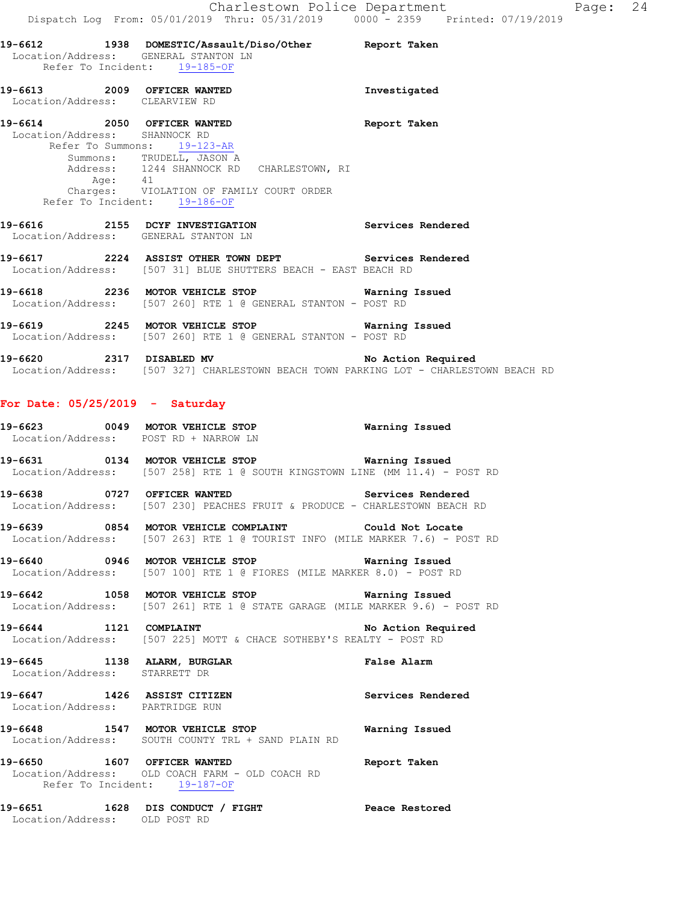|                                   | 19-6612 1938 DOMESTIC/Assault/Diso/Other Report Taken                                                                                                                                                                                                        |                    |
|-----------------------------------|--------------------------------------------------------------------------------------------------------------------------------------------------------------------------------------------------------------------------------------------------------------|--------------------|
|                                   | Location/Address: GENERAL STANTON LN<br>Refer To Incident: 19-185-OF                                                                                                                                                                                         |                    |
| Location/Address: CLEARVIEW RD    | 19-6613 2009 OFFICER WANTED                                                                                                                                                                                                                                  | Investigated       |
|                                   | 19-6614 2050 OFFICER WANTED<br>Location/Address: SHANNOCK RD<br>Refer To Summons: 19-123-AR<br>Summons: TRUDELL, JASON A<br>Address: 1244 SHANNOCK RD CHARLESTOWN, RI<br>Age: 41<br>Charges: VIOLATION OF FAMILY COURT ORDER<br>Refer To Incident: 19-186-OF | Report Taken       |
|                                   | 19-6616 2155 DCYF INVESTIGATION Services Rendered<br>Location/Address: GENERAL STANTON LN                                                                                                                                                                    |                    |
|                                   | 19-6617 2224 ASSIST OTHER TOWN DEPT Services Rendered<br>Location/Address: [507 31] BLUE SHUTTERS BEACH - EAST BEACH RD                                                                                                                                      |                    |
|                                   | 19-6618 			 2236 MOTOR VEHICLE STOP 			 Warning Issued<br>Location/Address: [507 260] RTE 1 @ GENERAL STANTON - POST RD                                                                                                                                      |                    |
|                                   | 19-6619 			 2245 MOTOR VEHICLE STOP 			 Warning Issued<br>Location/Address: [507 260] RTE 1 @ GENERAL STANTON - POST RD                                                                                                                                      |                    |
|                                   | 19-6620 2317 DISABLED MV No Action Required<br>Location/Address: [507 327] CHARLESTOWN BEACH TOWN PARKING LOT - CHARLESTOWN BEACH RD                                                                                                                         |                    |
| For Date: $05/25/2019$ - Saturday |                                                                                                                                                                                                                                                              |                    |
|                                   | 19-6623 0049 MOTOR VEHICLE STOP <b>WATER</b> Warning Issued<br>Location/Address: POST RD + NARROW LN                                                                                                                                                         |                    |
|                                   | 19-6631 0134 MOTOR VEHICLE STOP Warning Issued<br>Location/Address: [507 258] RTE 1 @ SOUTH KINGSTOWN LINE (MM 11.4) - POST RD                                                                                                                               |                    |
|                                   | 19-6638 0727 OFFICER WANTED Services Rendered<br>Location/Address: [507 230] PEACHES FRUIT & PRODUCE - CHARLESTOWN BEACH RD                                                                                                                                  |                    |
| 19-6639                           | 0854 MOTOR VEHICLE COMPLAINT<br>Location/Address: [507 263] RTE 1 @ TOURIST INFO (MILE MARKER 7.6) - POST RD                                                                                                                                                 | Could Not Locate   |
|                                   | 19-6640 0946 MOTOR VEHICLE STOP Warning Issued<br>Location/Address: [507 100] RTE 1 @ FIORES (MILE MARKER 8.0) - POST RD                                                                                                                                     |                    |
|                                   | 19-6642 1058 MOTOR VEHICLE STOP Warning Issued<br>Location/Address: [507 261] RTE 1 @ STATE GARAGE (MILE MARKER 9.6) - POST RD                                                                                                                               |                    |
|                                   | 19-6644 1121 COMPLAINT<br>Location/Address: [507 225] MOTT & CHACE SOTHEBY'S REALTY - POST RD                                                                                                                                                                | No Action Required |
| Location/Address: STARRETT DR     | 19-6645 1138 ALARM, BURGLAR                                                                                                                                                                                                                                  | False Alarm        |
| Location/Address: PARTRIDGE RUN   | 19-6647 1426 ASSIST CITIZEN                                                                                                                                                                                                                                  | Services Rendered  |
|                                   | 19-6648 1547 MOTOR VEHICLE STOP <b>WATER</b> Warning Issued<br>Location/Address: SOUTH COUNTY TRL + SAND PLAIN RD                                                                                                                                            |                    |
|                                   |                                                                                                                                                                                                                                                              |                    |

**19-6650 1607 OFFICER WANTED Report Taken**  Location/Address: OLD COACH FARM - OLD COACH RD Refer To Incident: 19-187-OF

**19-6651 1628 DIS CONDUCT / FIGHT Peace Restored**  Location/Address: OLD POST RD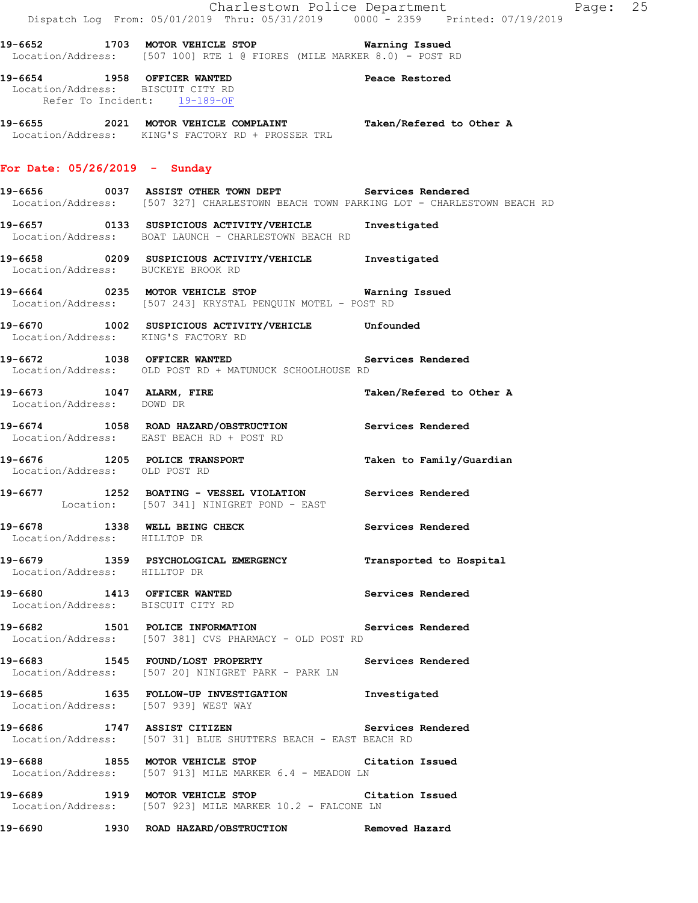|                                                                   | Dispatch Log From: 05/01/2019 Thru: 05/31/2019 0000 <sup>-</sup> 2359 Printed: 07/19/2019                                                        | Charlestown Police Department | Page: 25 |  |
|-------------------------------------------------------------------|--------------------------------------------------------------------------------------------------------------------------------------------------|-------------------------------|----------|--|
|                                                                   | 19-6652 1703 MOTOR VEHICLE STOP <b>Warning Issued</b><br>Location/Address: [507 100] RTE 1 @ FIORES (MILE MARKER 8.0) - POST RD                  |                               |          |  |
| Location/Address: BISCUIT CITY RD<br>Refer To Incident: 19-189-OF | 19-6654 1958 OFFICER WANTED                                                                                                                      | Peace Restored                |          |  |
|                                                                   | 19-6655 2021 MOTOR VEHICLE COMPLAINT Taken/Refered to Other A<br>Location/Address: KING'S FACTORY RD + PROSSER TRL                               |                               |          |  |
| For Date: $05/26/2019$ - Sunday                                   |                                                                                                                                                  |                               |          |  |
|                                                                   | 19-6656  0037 ASSIST OTHER TOWN DEPT  Services Rendered<br>Location/Address: [507 327] CHARLESTOWN BEACH TOWN PARKING LOT - CHARLESTOWN BEACH RD |                               |          |  |
|                                                                   | 19-6657 0133 SUSPICIOUS ACTIVITY/VEHICLE Investigated<br>Location/Address: BOAT LAUNCH - CHARLESTOWN BEACH RD                                    |                               |          |  |
| Location/Address: BUCKEYE BROOK RD                                | 19-6658 0209 SUSPICIOUS ACTIVITY/VEHICLE Investigated                                                                                            |                               |          |  |
|                                                                   | 19-6664 6235 MOTOR VEHICLE STOP 6 Warning Issued<br>Location/Address: [507 243] KRYSTAL PENQUIN MOTEL - POST RD                                  |                               |          |  |
| Location/Address: KING'S FACTORY RD                               | 19-6670 1002 SUSPICIOUS ACTIVITY/VEHICLE Unfounded                                                                                               |                               |          |  |
|                                                                   | 19-6672 1038 OFFICER WANTED Services Rendered<br>Location/Address: OLD POST RD + MATUNUCK SCHOOLHOUSE RD                                         |                               |          |  |
| 19-6673 1047 ALARM, FIRE<br>Location/Address: DOWD DR             |                                                                                                                                                  | Taken/Refered to Other A      |          |  |
|                                                                   | 19-6674 1058 ROAD HAZARD/OBSTRUCTION Services Rendered<br>Location/Address: EAST BEACH RD + POST RD                                              |                               |          |  |
| Location/Address: OLD POST RD                                     | 19-6676 1205 POLICE TRANSPORT 1 Taken to Family/Guardian                                                                                         |                               |          |  |
|                                                                   | 19-6677 1252 BOATING - VESSEL VIOLATION Services Rendered<br>Location: [507 341] NINIGRET POND - EAST                                            |                               |          |  |
| Location/Address: HILLTOP DR                                      | 19-6678 1338 WELL BEING CHECK                                                                                                                    | Services Rendered             |          |  |
| Location/Address: HILLTOP DR                                      | 19-6679 1359 PSYCHOLOGICAL EMERGENCY Transported to Hospital                                                                                     |                               |          |  |
| 19-6680 1413 OFFICER WANTED<br>Location/Address: BISCUIT CITY RD  |                                                                                                                                                  | Services Rendered             |          |  |
|                                                                   | 19-6682 1501 POLICE INFORMATION Services Rendered<br>Location/Address: [507 381] CVS PHARMACY - OLD POST RD                                      |                               |          |  |
|                                                                   | 19-6683 1545 FOUND/LOST PROPERTY 1990 Services Rendered<br>Location/Address: [507 20] NINIGRET PARK - PARK LN                                    |                               |          |  |
| Location/Address: [507 939] WEST WAY                              | 19-6685 1635 FOLLOW-UP INVESTIGATION Investigated                                                                                                |                               |          |  |
|                                                                   | 19-6686 1747 ASSIST CITIZEN<br>Location/Address: [507 31] BLUE SHUTTERS BEACH - EAST BEACH RD                                                    | Services Rendered             |          |  |
|                                                                   | 19-6688 1855 MOTOR VEHICLE STOP Citation Issued<br>Location/Address: [507 913] MILE MARKER 6.4 - MEADOW LN                                       |                               |          |  |
|                                                                   | 19-6689 1919 MOTOR VEHICLE STOP<br>Location/Address: [507 923] MILE MARKER 10.2 - FALCONE LN                                                     | Citation Issued               |          |  |
|                                                                   | 19-6690              1930    ROAD HAZARD/OBSTRUCTION                     Removed Hazard                                                          |                               |          |  |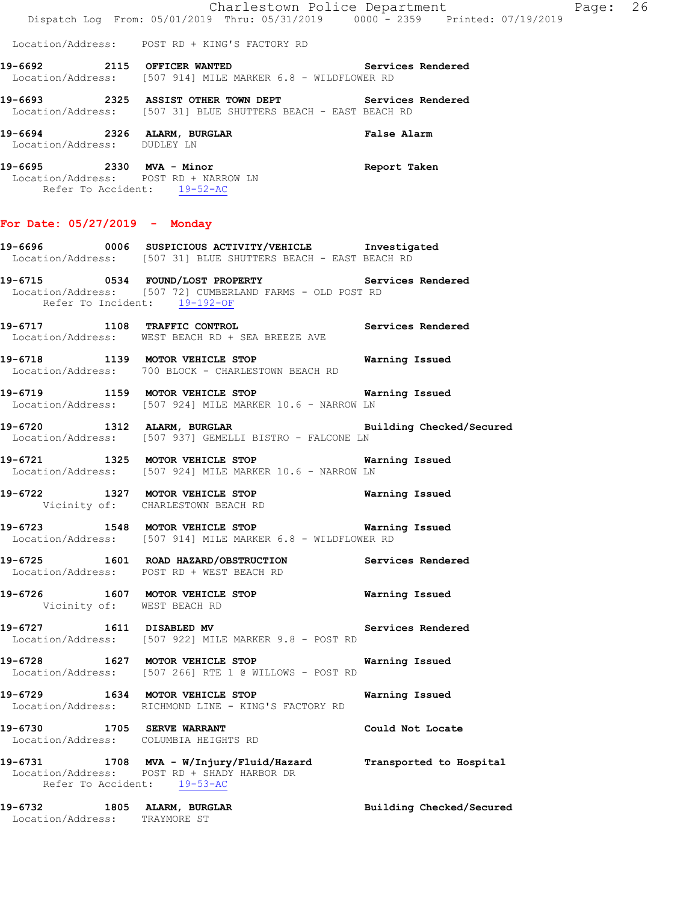| 19-6732 1805 ALARM, BURGLAR<br>Location/Address: TRAYMORE ST |                                                                                                                                                 | Building Checked/Secured |
|--------------------------------------------------------------|-------------------------------------------------------------------------------------------------------------------------------------------------|--------------------------|
|                                                              | 19-6731 1708 MVA - W/Injury/Fluid/Hazard Transported to Hospital<br>Location/Address: POST RD + SHADY HARBOR DR<br>Refer To Accident: 19-53-AC  |                          |
|                                                              | 19-6730 1705 SERVE WARRANT<br>Location/Address: COLUMBIA HEIGHTS RD                                                                             | Could Not Locate         |
|                                                              | 19-6729 1634 MOTOR VEHICLE STOP<br>Location/Address: RICHMOND LINE - KING'S FACTORY RD                                                          | Warning Issued           |
|                                                              | 19-6728 1627 MOTOR VEHICLE STOP<br>Location/Address: [507 266] RTE 1 @ WILLOWS - POST RD                                                        | Warning Issued           |
| 19-6727 1611 DISABLED MV                                     | Location/Address: [507 922] MILE MARKER 9.8 - POST RD                                                                                           | Services Rendered        |
|                                                              | 19-6726 1607 MOTOR VEHICLE STOP<br>Vicinity of: WEST BEACH RD                                                                                   | Warning Issued           |
|                                                              | 19-6725 1601 ROAD HAZARD/OBSTRUCTION Services Rendered<br>Location/Address: POST RD + WEST BEACH RD                                             |                          |
|                                                              | 19-6723 1548 MOTOR VEHICLE STOP 67 Warning Issued<br>Location/Address: [507 914] MILE MARKER 6.8 - WILDFLOWER RD                                |                          |
|                                                              | 19-6722 1327 MOTOR VEHICLE STOP 6722 Warning Issued<br>Vicinity of: CHARLESTOWN BEACH RD                                                        |                          |
|                                                              | 19-6721 1325 MOTOR VEHICLE STOP 6721 Warning Issued<br>Location/Address: [507 924] MILE MARKER 10.6 - NARROW LN                                 |                          |
|                                                              | 19-6720 1312 ALARM, BURGLAR 2008 Building Checked/Secured<br>Location/Address: [507 937] GEMELLI BISTRO - FALCONE LN                            |                          |
|                                                              | 19-6719 1159 MOTOR VEHICLE STOP Warning Issued<br>Location/Address: [507 924] MILE MARKER 10.6 - NARROW LN                                      |                          |
|                                                              | 19-6718 1139 MOTOR VEHICLE STOP Warning Issued<br>Location/Address: 700 BLOCK - CHARLESTOWN BEACH RD                                            |                          |
|                                                              | 19-6717 1108 TRAFFIC CONTROL 19-6717 Services Rendered<br>Location/Address: WEST BEACH RD + SEA BREEZE AVE                                      |                          |
|                                                              | 19-6715 0534 FOUND/LOST PROPERTY Services Rendered<br>Location/Address: [507 72] CUMBERLAND FARMS - OLD POST RD<br>Refer To Incident: 19-192-OF |                          |
|                                                              | 19-6696 0006 SUSPICIOUS ACTIVITY/VEHICLE Investigated<br>Location/Address: [507 31] BLUE SHUTTERS BEACH - EAST BEACH RD                         |                          |
| For Date: $05/27/2019$ - Monday                              |                                                                                                                                                 |                          |
| Refer To Accident: 19-52-AC                                  | 19-6695 2330 MVA - Minor Changes and Report Taken<br>Location/Address: POST RD + NARROW LN                                                      |                          |
|                                                              | 19-6694 2326 ALARM, BURGLAR False Alarm Location/Address: DUDLEY LN                                                                             |                          |
|                                                              | 19-6693 2325 ASSIST OTHER TOWN DEPT Services Rendered<br>Location/Address: [507 31] BLUE SHUTTERS BEACH - EAST BEACH RD                         |                          |
|                                                              | 19-6692 2115 OFFICER WANTED Services Rendered<br>Location/Address: [507 914] MILE MARKER 6.8 - WILDFLOWER RD                                    |                          |
|                                                              | Location/Address: POST RD + KING'S FACTORY RD                                                                                                   |                          |
|                                                              | Charlestown Police Department<br>Dispatch Log From: 05/01/2019 Thru: 05/31/2019 0000 - 2359 Printed: 07/19/2019                                 |                          |

Page: 26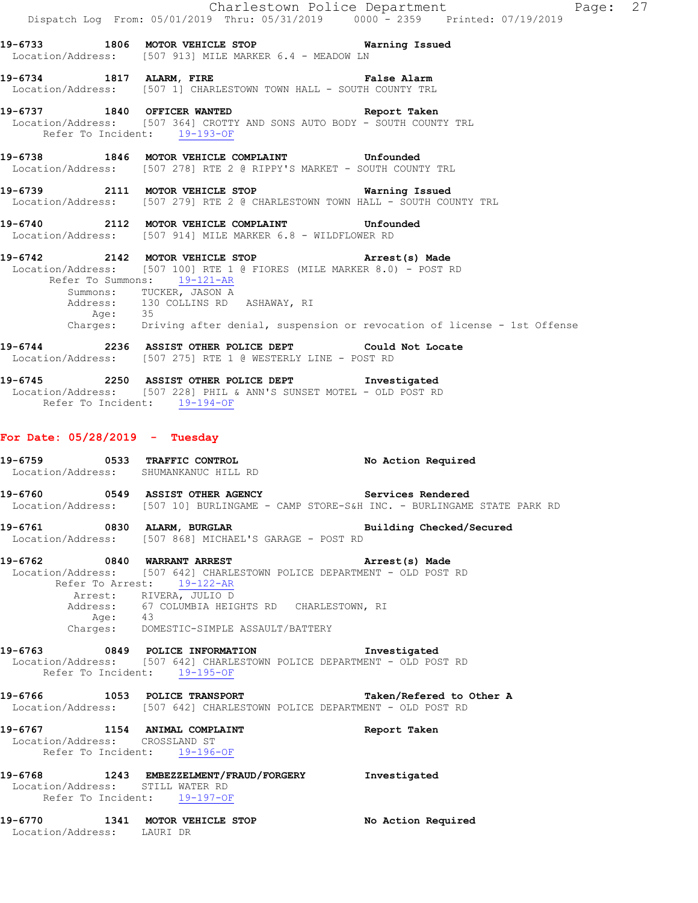|                                                                  |                                                                                                                                                                                                                                                                                               | Charlestown Police Department Fage: 27                                                                                             |  |
|------------------------------------------------------------------|-----------------------------------------------------------------------------------------------------------------------------------------------------------------------------------------------------------------------------------------------------------------------------------------------|------------------------------------------------------------------------------------------------------------------------------------|--|
|                                                                  |                                                                                                                                                                                                                                                                                               | Dispatch Log From: 05/01/2019 Thru: 05/31/2019 0000 <sup>-</sup> 2359 Printed: 07/19/2019                                          |  |
|                                                                  | 19-6733 1806 MOTOR VEHICLE STOP 6 Warning Issued<br>Location/Address: [507 913] MILE MARKER 6.4 - MEADOW LN                                                                                                                                                                                   |                                                                                                                                    |  |
|                                                                  | 19-6734 1817 ALARM, FIRE THE False Alarm<br>Location/Address: [507 1] CHARLESTOWN TOWN HALL - SOUTH COUNTY TRL                                                                                                                                                                                |                                                                                                                                    |  |
| Refer To Incident: 19-193-OF                                     | 19-6737 1840 OFFICER WANTED Report Taken<br>Location/Address: [507 364] CROTTY AND SONS AUTO BODY - SOUTH COUNTY TRL                                                                                                                                                                          |                                                                                                                                    |  |
|                                                                  | 19-6738 1846 MOTOR VEHICLE COMPLAINT Unfounded<br>Location/Address: [507 278] RTE 2 @ RIPPY'S MARKET - SOUTH COUNTY TRL                                                                                                                                                                       |                                                                                                                                    |  |
|                                                                  | 19-6739 2111 MOTOR VEHICLE STOP 6739 Warning Issued<br>Location/Address: [507 279] RTE 2 @ CHARLESTOWN TOWN HALL - SOUTH COUNTY TRL                                                                                                                                                           |                                                                                                                                    |  |
|                                                                  | 19-6740 2112 MOTOR VEHICLE COMPLAINT Unfounded<br>Location/Address: [507 914] MILE MARKER 6.8 - WILDFLOWER RD                                                                                                                                                                                 |                                                                                                                                    |  |
|                                                                  | 19-6742 2142 MOTOR VEHICLE STOP Arrest(s) Made<br>Location/Address: [507 100] RTE 1 @ FIORES (MILE MARKER 8.0) - POST RD<br>Refer To Summons: 19-121-AR<br>Summons: TUCKER, JASON A                                                                                                           | Address: 130 COLLINS RD ASHAWAY, RI<br>Age: 35<br>Charges: Driving after denial, suspension or revocation of license - 1st Offense |  |
|                                                                  | 19-6744 2236 ASSIST OTHER POLICE DEPT Could Not Locate<br>Location/Address: [507 275] RTE 1 @ WESTERLY LINE - POST RD                                                                                                                                                                         |                                                                                                                                    |  |
| Refer To Incident: 19-194-OF                                     | 19-6745 2250 ASSIST OTHER POLICE DEPT 1nvestigated<br>Location/Address: [507 228] PHIL & ANN'S SUNSET MOTEL - OLD POST RD                                                                                                                                                                     |                                                                                                                                    |  |
| For Date: $05/28/2019$ - Tuesday                                 |                                                                                                                                                                                                                                                                                               |                                                                                                                                    |  |
|                                                                  | 19-6759 0533 TRAFFIC CONTROL<br>Location/Address: SHUMANKANUC HILL RD                                                                                                                                                                                                                         | No Action Required                                                                                                                 |  |
|                                                                  | 19-6760 0549 ASSIST OTHER AGENCY Services Rendered                                                                                                                                                                                                                                            | Location/Address: [507 10] BURLINGAME - CAMP STORE-S&H INC. - BURLINGAME STATE PARK RD                                             |  |
|                                                                  | 19-6761 0830 ALARM, BURGLAR BURGER Building Checked/Secured<br>Location/Address: [507 868] MICHAEL'S GARAGE - POST RD                                                                                                                                                                         |                                                                                                                                    |  |
|                                                                  | 19-6762 0840 WARRANT ARREST 2008 Arrest(s) Made<br>Location/Address: [507 642] CHARLESTOWN POLICE DEPARTMENT - OLD POST RD<br>Refer To Arrest: 19-122-AR<br>Arrest: RIVERA, JULIO D<br>Address: 67 COLUMBIA HEIGHTS RD CHARLESTOWN, RI<br>Age: 43<br>Charges: DOMESTIC-SIMPLE ASSAULT/BATTERY |                                                                                                                                    |  |
|                                                                  | 19-6763 0849 POLICE INFORMATION Investigated<br>Location/Address: [507 642] CHARLESTOWN POLICE DEPARTMENT - OLD POST RD<br>Refer To Incident: 19-195-OF                                                                                                                                       |                                                                                                                                    |  |
|                                                                  | 19-6766 1053 POLICE TRANSPORT Taken/Refered to Other A<br>Location/Address: [507 642] CHARLESTOWN POLICE DEPARTMENT - OLD POST RD                                                                                                                                                             |                                                                                                                                    |  |
| Location/Address: CROSSLAND ST<br>Refer To Incident: 19-196-OF   | 19-6767 1154 ANIMAL COMPLAINT                                                                                                                                                                                                                                                                 | Report Taken                                                                                                                       |  |
| Location/Address: STILL WATER RD<br>Refer To Incident: 19-197-OF | 19-6768 1243 EMBEZZELMENT/FRAUD/FORGERY Investigated                                                                                                                                                                                                                                          |                                                                                                                                    |  |
| Location/Address: LAURI DR                                       | 19-6770 1341 MOTOR VEHICLE STOP                                                                                                                                                                                                                                                               | No Action Required                                                                                                                 |  |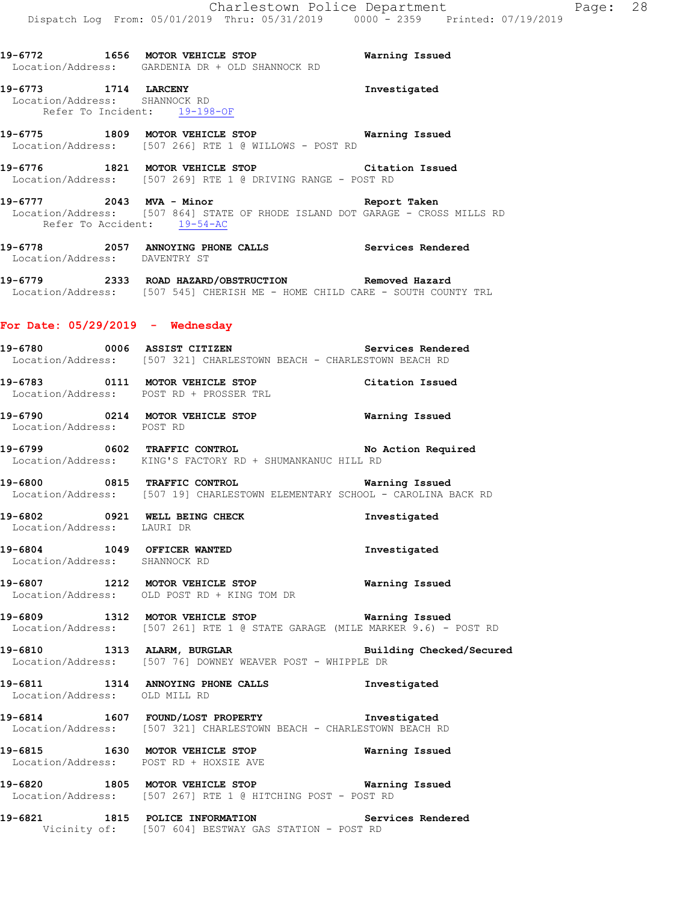**19-6772 1656 MOTOR VEHICLE STOP Warning Issued** 

 Location/Address: GARDENIA DR + OLD SHANNOCK RD **19-6773 1714 LARCENY Investigated**  Location/Address: SHANNOCK RD Refer To Incident: 19-198-OF **19-6775 1809 MOTOR VEHICLE STOP Warning Issued**  Location/Address: [507 266] RTE 1 @ WILLOWS - POST RD **19-6776 1821 MOTOR VEHICLE STOP Citation Issued**  Location/Address: [507 269] RTE 1 @ DRIVING RANGE - POST RD **19-6777 2043 MVA - Minor Report Taken**  Location/Address: [507 864] STATE OF RHODE ISLAND DOT GARAGE - CROSS MILLS RD Refer To Accident: 19-54-AC **19-6778 2057 ANNOYING PHONE CALLS Services Rendered**  Location/Address: DAVENTRY ST **19-6779 2333 ROAD HAZARD/OBSTRUCTION Removed Hazard**  Location/Address: [507 545] CHERISH ME - HOME CHILD CARE - SOUTH COUNTY TRL **For Date: 05/29/2019 - Wednesday 19-6780 0006 ASSIST CITIZEN Services Rendered**  Location/Address: [507 321] CHARLESTOWN BEACH - CHARLESTOWN BEACH RD **19-6783 0111 MOTOR VEHICLE STOP Citation Issued**  Location/Address: POST RD + PROSSER TRL **19-6790 0214 MOTOR VEHICLE STOP Warning Issued**  Location/Address: POST RD **19-6799 0602 TRAFFIC CONTROL No Action Required**  Location/Address: KING'S FACTORY RD + SHUMANKANUC HILL RD **19-6800 0815 TRAFFIC CONTROL Warning Issued**  Location/Address: [507 19] CHARLESTOWN ELEMENTARY SCHOOL - CAROLINA BACK RD **19-6802 0921 WELL BEING CHECK Investigated**  Location/Address: LAURI DR **19-6804 1049 OFFICER WANTED Investigated**  Location/Address: SHANNOCK RD **19-6807 1212 MOTOR VEHICLE STOP Warning Issued**  Location/Address: OLD POST RD + KING TOM DR **19-6809 1312 MOTOR VEHICLE STOP Warning Issued**  Location/Address: [507 261] RTE 1 @ STATE GARAGE (MILE MARKER 9.6) - POST RD **19-6810 1313 ALARM, BURGLAR Building Checked/Secured**  Location/Address: [507 76] DOWNEY WEAVER POST - WHIPPLE DR **19-6811 1314 ANNOYING PHONE CALLS Investigated**  Location/Address: OLD MILL RD **19-6814 1607 FOUND/LOST PROPERTY Investigated**  Location/Address: [507 321] CHARLESTOWN BEACH - CHARLESTOWN BEACH RD **19-6815 1630 MOTOR VEHICLE STOP Warning Issued**  Location/Address: POST RD + HOXSIE AVE **19-6820 1805 MOTOR VEHICLE STOP Warning Issued**  Location/Address: [507 267] RTE 1 @ HITCHING POST - POST RD

**19-6821 1815 POLICE INFORMATION Services Rendered**  Vicinity of: [507 604] BESTWAY GAS STATION - POST RD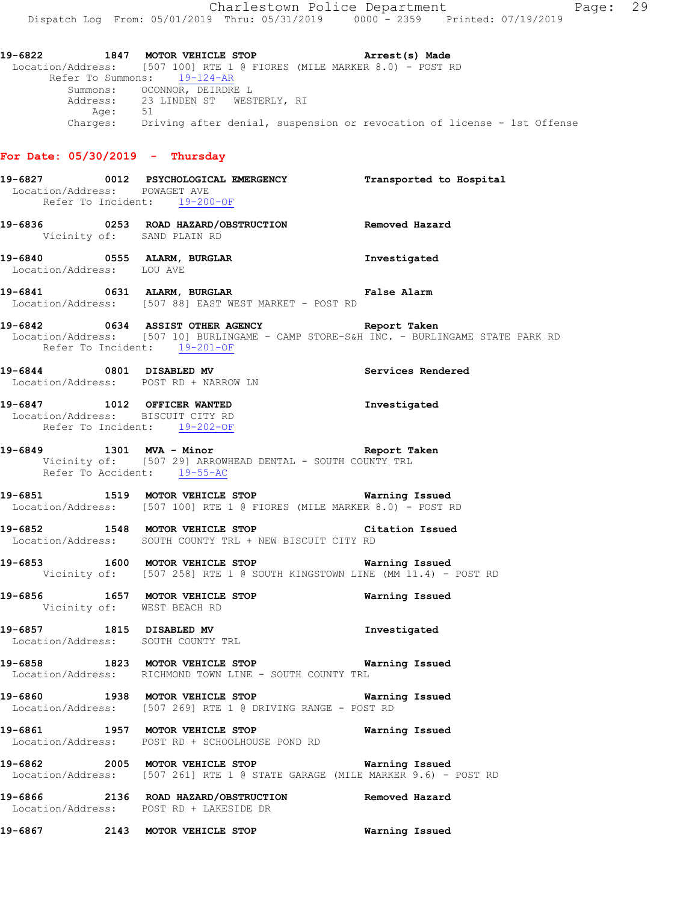**19-6822 1847 MOTOR VEHICLE STOP Arrest(s) Made**  Location/Address: [507 100] RTE 1 @ FIORES (MILE MARKER 8.0) - POST RD Refer To Summons: 19-124-AR Summons: OCONNOR, DEIRDRE L Address: 23 LINDEN ST WESTERLY, RI Age: 51 Charges: Driving after denial, suspension or revocation of license - 1st Offense

## **For Date: 05/30/2019 - Thursday**

| Location/Address: POWAGET AVE<br>Refer To Incident: 19-200-OF     | 19-6827 0012 PSYCHOLOGICAL EMERGENCY Transported to Hospital                                                                            |                |
|-------------------------------------------------------------------|-----------------------------------------------------------------------------------------------------------------------------------------|----------------|
| Vicinity of: SAND PLAIN RD                                        | 19-6836 6253 ROAD HAZARD/OBSTRUCTION Removed Hazard                                                                                     |                |
| Location/Address: LOU AVE                                         | 19-6840 0555 ALARM, BURGLAR 19-6840 Investigated                                                                                        |                |
|                                                                   | 19-6841 0631 ALARM, BURGLAR CONTROLLER False Alarm<br>Location/Address: [507 88] EAST WEST MARKET - POST RD                             |                |
| Refer To Incident: 19-201-OF                                      | 19-6842 0634 ASSIST OTHER AGENCY Neport Taken<br>Location/Address: [507 10] BURLINGAME - CAMP STORE-S&H INC. - BURLINGAME STATE PARK RD |                |
|                                                                   | 19-6844 0801 DISABLED MV 3000 Services Rendered<br>Location/Address: POST RD + NARROW LN                                                |                |
| Location/Address: BISCUIT CITY RD<br>Refer To Incident: 19-202-OF | 19-6847 1012 OFFICER WANTED                                                                                                             | Investigated   |
|                                                                   | 19-6849 1301 MVA - Minor 19-6849<br>Vicinity of: [507 29] ARROWHEAD DENTAL - SOUTH COUNTY TRL<br>Refer To Accident: 19-55-AC            |                |
|                                                                   | 19-6851 1519 MOTOR VEHICLE STOP 19-6851 Warning Issued<br>Location/Address: [507 100] RTE 1 @ FIORES (MILE MARKER 8.0) - POST RD        |                |
|                                                                   | 19-6852 1548 MOTOR VEHICLE STOP Citation Issued<br>Location/Address: SOUTH COUNTY TRL + NEW BISCUIT CITY RD                             |                |
|                                                                   | 19-6853 1600 MOTOR VEHICLE STOP 6853<br>Vicinity of: [507 258] RTE 1 @ SOUTH KINGSTOWN LINE (MM $11.4$ ) - POST RD                      |                |
|                                                                   | 19-6856 1657 MOTOR VEHICLE STOP Warning Issued<br>Vicinity of: WEST BEACH RD                                                            |                |
|                                                                   | -<br>19-6857 1815 DISABLED MV 19-6857 1nvestigated<br>Location/Address: SOUTH COUNTY TRL                                                |                |
|                                                                   | 19-6858 1823 MOTOR VEHICLE STOP 6858 Warning Issued<br>Location/Address: RICHMOND TOWN LINE - SOUTH COUNTY TRL                          |                |
|                                                                   | 19-6860 1938 MOTOR VEHICLE STOP 6860 Warning Issued<br>Location/Address: [507 269] RTE 1 @ DRIVING RANGE - POST RD                      |                |
|                                                                   | 19-6861 1957 MOTOR VEHICLE STOP<br>Location/Address: POST RD + SCHOOLHOUSE POND RD                                                      | Warning Issued |
|                                                                   | 19-6862 2005 MOTOR VEHICLE STOP<br>Location/Address: [507 261] RTE 1 @ STATE GARAGE (MILE MARKER 9.6) - POST RD                         | Warning Issued |
|                                                                   | 19-6866 2136 ROAD HAZARD/OBSTRUCTION Removed Hazard<br>Location/Address: POST RD + LAKESIDE DR                                          |                |
| 19-6867                                                           | 2143 MOTOR VEHICLE STOP                                                                                                                 | Warning Issued |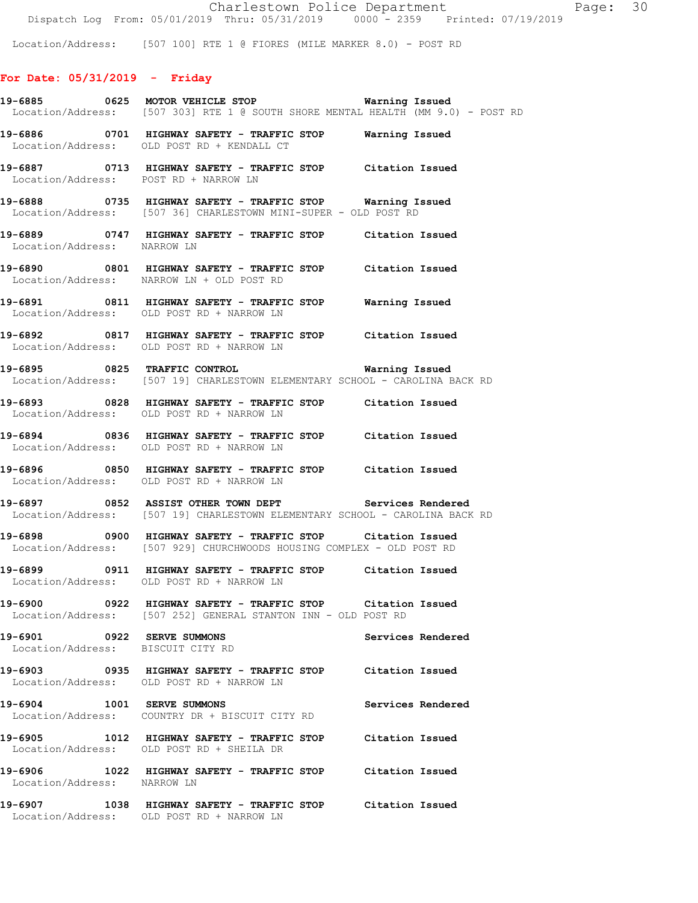Location/Address: [507 100] RTE 1 @ FIORES (MILE MARKER 8.0) - POST RD

# **For Date: 05/31/2019 - Friday**

|                                                                 | 19-6885 0625 MOTOR VEHICLE STOP Warning Issued<br>Location/Address: [507 303] RTE 1 @ SOUTH SHORE MENTAL HEALTH (MM 9.0) - POST RD   |
|-----------------------------------------------------------------|--------------------------------------------------------------------------------------------------------------------------------------|
|                                                                 | 19-6886 0701 HIGHWAY SAFETY - TRAFFIC STOP Warning Issued<br>Location/Address: OLD POST RD + KENDALL CT                              |
|                                                                 | 19-6887   0713   HIGHWAY SAFETY - TRAFFIC STOP   Citation Issued<br>Location/Address:   POST RD + NARROW LN                          |
|                                                                 | 19-6888 0735 HIGHWAY SAFETY - TRAFFIC STOP Warning Issued<br>Location/Address: [507 36] CHARLESTOWN MINI-SUPER - OLD POST RD         |
| Location/Address: NARROW LN                                     | 19-6889 0747 HIGHWAY SAFETY - TRAFFIC STOP Citation Issued                                                                           |
|                                                                 | 19-6890 0801 HIGHWAY SAFETY - TRAFFIC STOP Citation Issued<br>Location/Address: NARROW LN + OLD POST RD                              |
|                                                                 | 19-6891 0811 HIGHWAY SAFETY - TRAFFIC STOP Warning Issued<br>Location/Address: OLD POST RD + NARROW LN                               |
|                                                                 | 19-6892 0817 HIGHWAY SAFETY - TRAFFIC STOP Citation Issued<br>Location/Address: OLD POST RD + NARROW LN                              |
|                                                                 | 19-6895 0825 TRAFFIC CONTROL Warning Issued<br>Location/Address: [507 19] CHARLESTOWN ELEMENTARY SCHOOL - CAROLINA BACK RD           |
|                                                                 | 19-6893 0828 HIGHWAY SAFETY - TRAFFIC STOP Citation Issued<br>Location/Address: OLD POST RD + NARROW LN                              |
|                                                                 | 19-6894 0836 HIGHWAY SAFETY - TRAFFIC STOP Citation Issued<br>Location/Address: OLD POST RD + NARROW LN                              |
|                                                                 | 19-6896 0850 HIGHWAY SAFETY - TRAFFIC STOP Citation Issued<br>Location/Address: OLD POST RD + NARROW LN                              |
|                                                                 | 19-6897 0852 ASSIST OTHER TOWN DEPT Services Rendered<br>Location/Address: [507 19] CHARLESTOWN ELEMENTARY SCHOOL - CAROLINA BACK RD |
|                                                                 | 19-6898 0900 HIGHWAY SAFETY - TRAFFIC STOP Citation Issued<br>Location/Address: [507 929] CHURCHWOODS HOUSING COMPLEX - OLD POST RD  |
|                                                                 | 19-6899 0911 HIGHWAY SAFETY - TRAFFIC STOP Citation Issued<br>Location/Address: OLD POST RD + NARROW LN                              |
|                                                                 | 19-6900 0922 HIGHWAY SAFETY - TRAFFIC STOP Citation Issued<br>Location/Address: [507 252] GENERAL STANTON INN - OLD POST RD          |
| 19-6901 0922 SERVE SUMMONS<br>Location/Address: BISCUIT CITY RD | Services Rendered                                                                                                                    |
|                                                                 | 19-6903 0935 HIGHWAY SAFETY - TRAFFIC STOP Citation Issued<br>Location/Address: OLD POST RD + NARROW LN                              |
|                                                                 | 19-6904 1001 SERVE SUMMONS<br>Services Rendered<br>Location/Address: COUNTRY DR + BISCUIT CITY RD                                    |
|                                                                 | 19-6905 1012 HIGHWAY SAFETY - TRAFFIC STOP Citation Issued<br>Location/Address: OLD POST RD + SHEILA DR                              |
|                                                                 | 19-6906 1022 HIGHWAY SAFETY - TRAFFIC STOP Citation Issued<br>Location/Address: NARROW LN                                            |
|                                                                 | 19-6907 1038 HIGHWAY SAFETY - TRAFFIC STOP Citation Issued<br>Location/Address: OLD POST RD + NARROW LN                              |